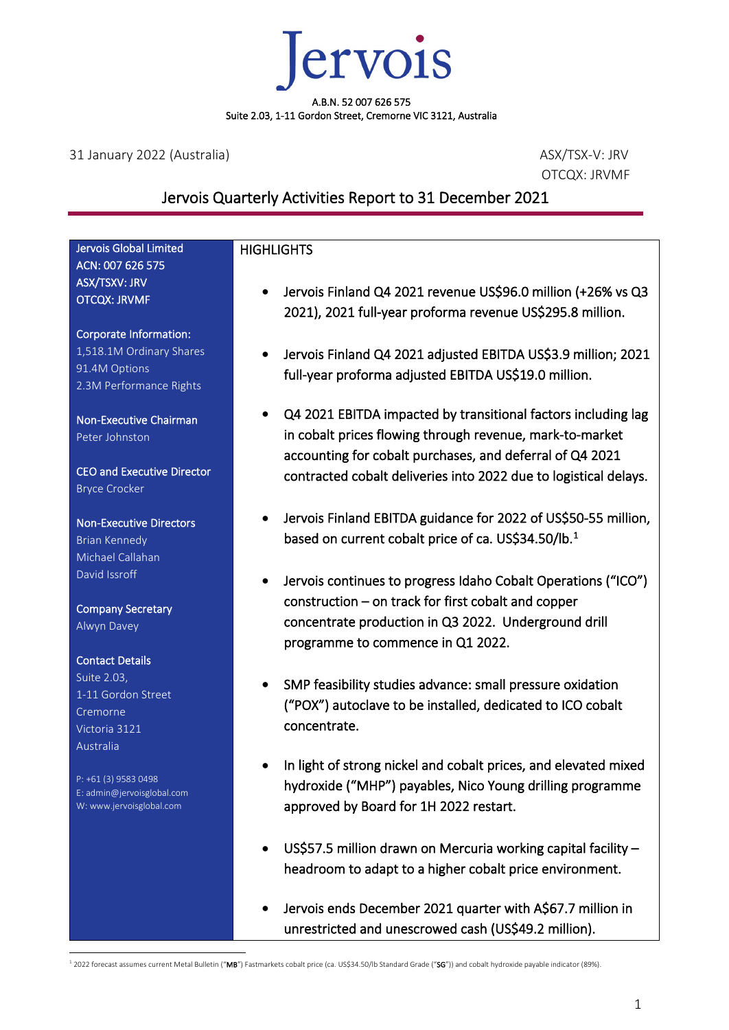

31 January 2022 (Australia) ASX/TSX-V: JRV

OTCQX: JRVMF

## Jervois Quarterly Activities Report to 31 December 2021

#### Jervois Global Limited ACN: 007 626 575 ASX/TSXV: JRV OTCQX: JRVMF Corporate Information: 1,518.1M Ordinary Shares 91.4M Options 2.3M Performance Rights Non-Executive Chairman Peter Johnston CEO and Executive Director Bryce Crocker Non-Executive Directors Brian Kennedy Michael Callahan David Issroff Company Secretary Alwyn Davey Contact Details Suite 2.03, 1-11 Gordon Street Cremorne Victoria 3121 Australia P: +61 (3) 9583 0498 E: admin@jervoisglobal.com W: www.jervoisglobal.com **HIGHLIGHTS** • Jervois Finland Q4 2021 revenue US\$96.0 million (+26% vs Q3 2021), 2021 full-year proforma revenue US\$295.8 million. • Jervois Finland Q4 2021 adjusted EBITDA US\$3.9 million; 2021 full-year proforma adjusted EBITDA US\$19.0 million. • Q4 2021 EBITDA impacted by transitional factors including lag in cobalt prices flowing through revenue, mark-to-market accounting for cobalt purchases, and deferral of Q4 2021 contracted cobalt deliveries into 2022 due to logistical delays. • Jervois Finland EBITDA guidance for 2022 of US\$50-55 million, based on current cobalt price of ca. US\$34.50/lb. [1](#page-0-0)  • Jervois continues to progress Idaho Cobalt Operations ("ICO") construction – on track for first cobalt and copper concentrate production in Q3 2022. Underground drill programme to commence in Q1 2022. • SMP feasibility studies advance: small pressure oxidation ("POX") autoclave to be installed, dedicated to ICO cobalt concentrate. In light of strong nickel and cobalt prices, and elevated mixed hydroxide ("MHP") payables, Nico Young drilling programme approved by Board for 1H 2022 restart. • US\$57.5 million drawn on Mercuria working capital facility – headroom to adapt to a higher cobalt price environment. • Jervois ends December 2021 quarter with A\$67.7 million in

<span id="page-0-0"></span><sup>1</sup> 2022 forecast assumes current Metal Bulletin ("MB") Fastmarkets cobalt price (ca. US\$34.50/lb Standard Grade ("SG")) and cobalt hydroxide payable indicator (89%).

unrestricted and unescrowed cash (US\$49.2 million).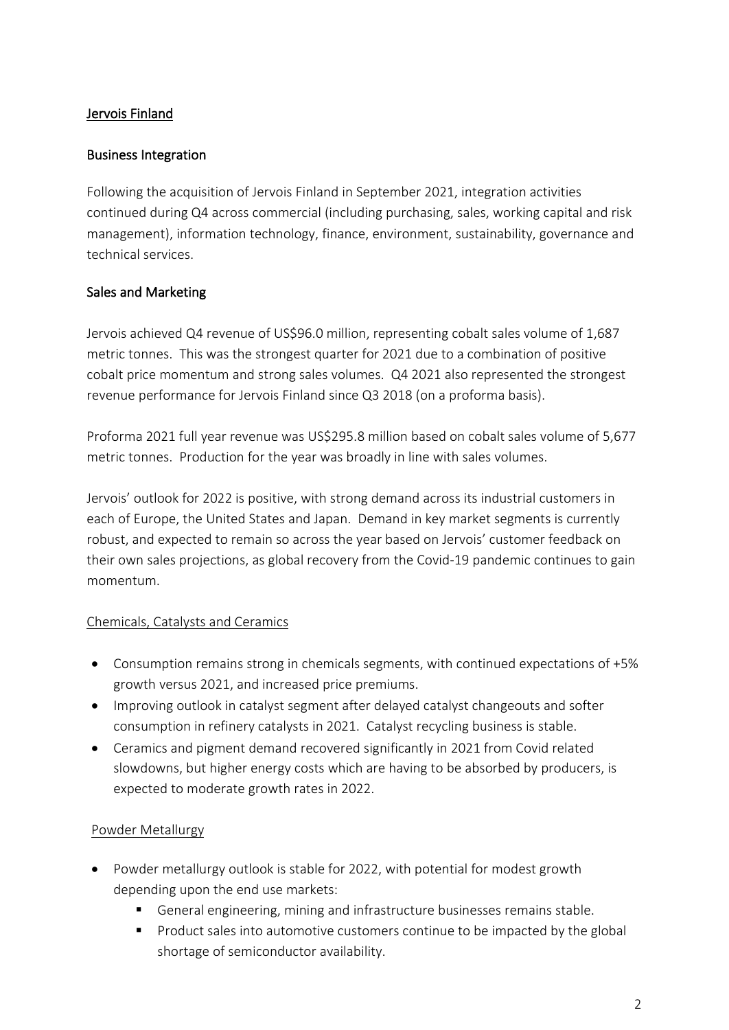## Jervois Finland

#### Business Integration

Following the acquisition of Jervois Finland in September 2021, integration activities continued during Q4 across commercial (including purchasing, sales, working capital and risk management), information technology, finance, environment, sustainability, governance and technical services.

## Sales and Marketing

Jervois achieved Q4 revenue of US\$96.0 million, representing cobalt sales volume of 1,687 metric tonnes. This was the strongest quarter for 2021 due to a combination of positive cobalt price momentum and strong sales volumes. Q4 2021 also represented the strongest revenue performance for Jervois Finland since Q3 2018 (on a proforma basis).

Proforma 2021 full year revenue was US\$295.8 million based on cobalt sales volume of 5,677 metric tonnes. Production for the year was broadly in line with sales volumes.

Jervois' outlook for 2022 is positive, with strong demand across its industrial customers in each of Europe, the United States and Japan. Demand in key market segments is currently robust, and expected to remain so across the year based on Jervois' customer feedback on their own sales projections, as global recovery from the Covid-19 pandemic continues to gain momentum.

#### Chemicals, Catalysts and Ceramics

- Consumption remains strong in chemicals segments, with continued expectations of +5% growth versus 2021, and increased price premiums.
- Improving outlook in catalyst segment after delayed catalyst changeouts and softer consumption in refinery catalysts in 2021. Catalyst recycling business is stable.
- Ceramics and pigment demand recovered significantly in 2021 from Covid related slowdowns, but higher energy costs which are having to be absorbed by producers, is expected to moderate growth rates in 2022.

## Powder Metallurgy

- Powder metallurgy outlook is stable for 2022, with potential for modest growth depending upon the end use markets:
	- General engineering, mining and infrastructure businesses remains stable.
	- **Product sales into automotive customers continue to be impacted by the global** shortage of semiconductor availability.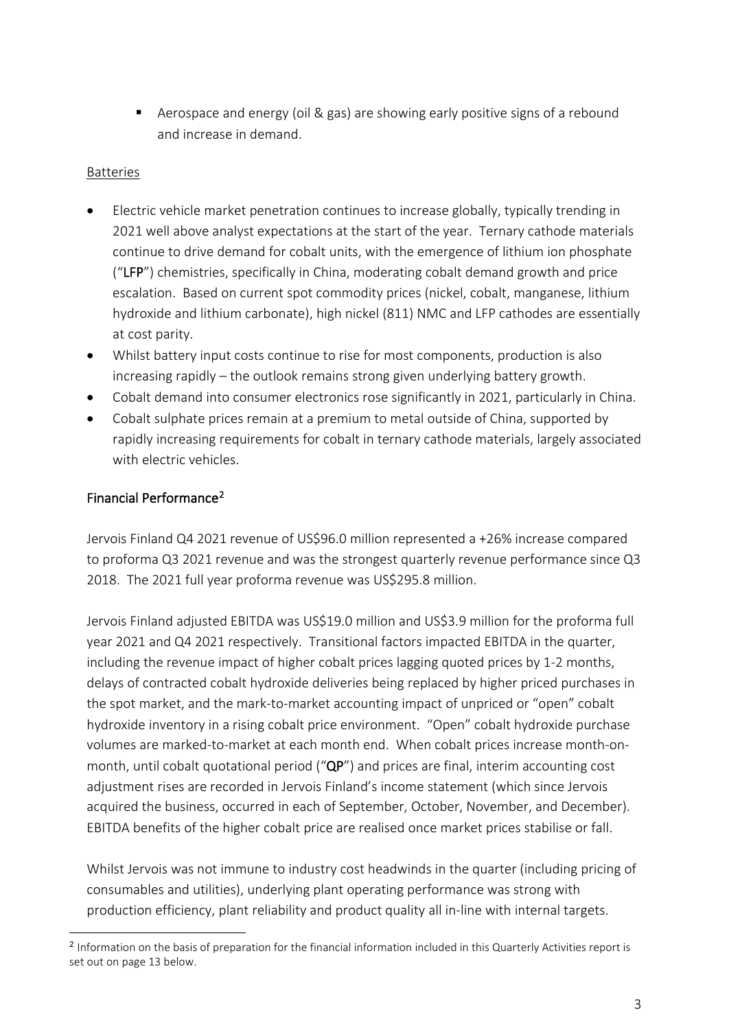Aerospace and energy (oil & gas) are showing early positive signs of a rebound and increase in demand.

#### Batteries

- Electric vehicle market penetration continues to increase globally, typically trending in 2021 well above analyst expectations at the start of the year. Ternary cathode materials continue to drive demand for cobalt units, with the emergence of lithium ion phosphate ("LFP") chemistries, specifically in China, moderating cobalt demand growth and price escalation. Based on current spot commodity prices (nickel, cobalt, manganese, lithium hydroxide and lithium carbonate), high nickel (811) NMC and LFP cathodes are essentially at cost parity.
- Whilst battery input costs continue to rise for most components, production is also increasing rapidly – the outlook remains strong given underlying battery growth.
- Cobalt demand into consumer electronics rose significantly in 2021, particularly in China.
- Cobalt sulphate prices remain at a premium to metal outside of China, supported by rapidly increasing requirements for cobalt in ternary cathode materials, largely associated with electric vehicles.

## Financial Performance[2](#page-2-0)

Jervois Finland Q4 2021 revenue of US\$96.0 million represented a +26% increase compared to proforma Q3 2021 revenue and was the strongest quarterly revenue performance since Q3 2018. The 2021 full year proforma revenue was US\$295.8 million.

Jervois Finland adjusted EBITDA was US\$19.0 million and US\$3.9 million for the proforma full year 2021 and Q4 2021 respectively. Transitional factors impacted EBITDA in the quarter, including the revenue impact of higher cobalt prices lagging quoted prices by 1-2 months, delays of contracted cobalt hydroxide deliveries being replaced by higher priced purchases in the spot market, and the mark-to-market accounting impact of unpriced or "open" cobalt hydroxide inventory in a rising cobalt price environment. "Open" cobalt hydroxide purchase volumes are marked-to-market at each month end. When cobalt prices increase month-onmonth, until cobalt quotational period ("QP") and prices are final, interim accounting cost adjustment rises are recorded in Jervois Finland's income statement (which since Jervois acquired the business, occurred in each of September, October, November, and December). EBITDA benefits of the higher cobalt price are realised once market prices stabilise or fall.

Whilst Jervois was not immune to industry cost headwinds in the quarter (including pricing of consumables and utilities), underlying plant operating performance was strong with production efficiency, plant reliability and product quality all in-line with internal targets.

<span id="page-2-0"></span><sup>2</sup> Information on the basis of preparation for the financial information included in this Quarterly Activities report is set out on page 13 below.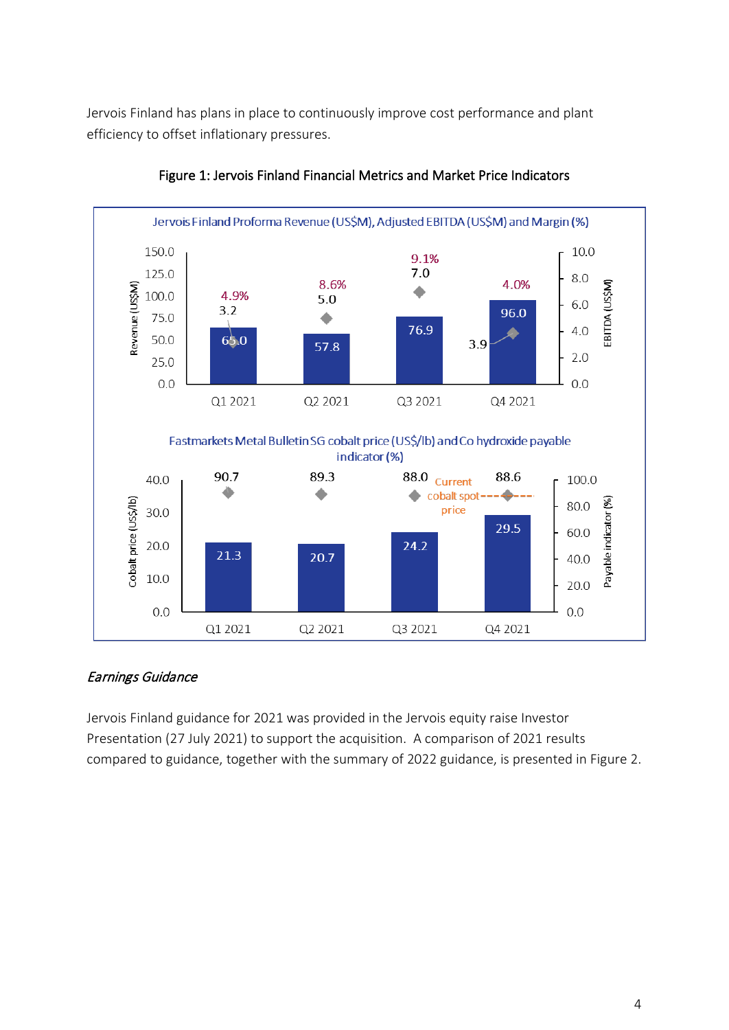Jervois Finland has plans in place to continuously improve cost performance and plant efficiency to offset inflationary pressures.



Figure 1: Jervois Finland Financial Metrics and Market Price Indicators

## Earnings Guidance

Jervois Finland guidance for 2021 was provided in the Jervois equity raise Investor Presentation (27 July 2021) to support the acquisition. A comparison of 2021 results compared to guidance, together with the summary of 2022 guidance, is presented in Figure 2.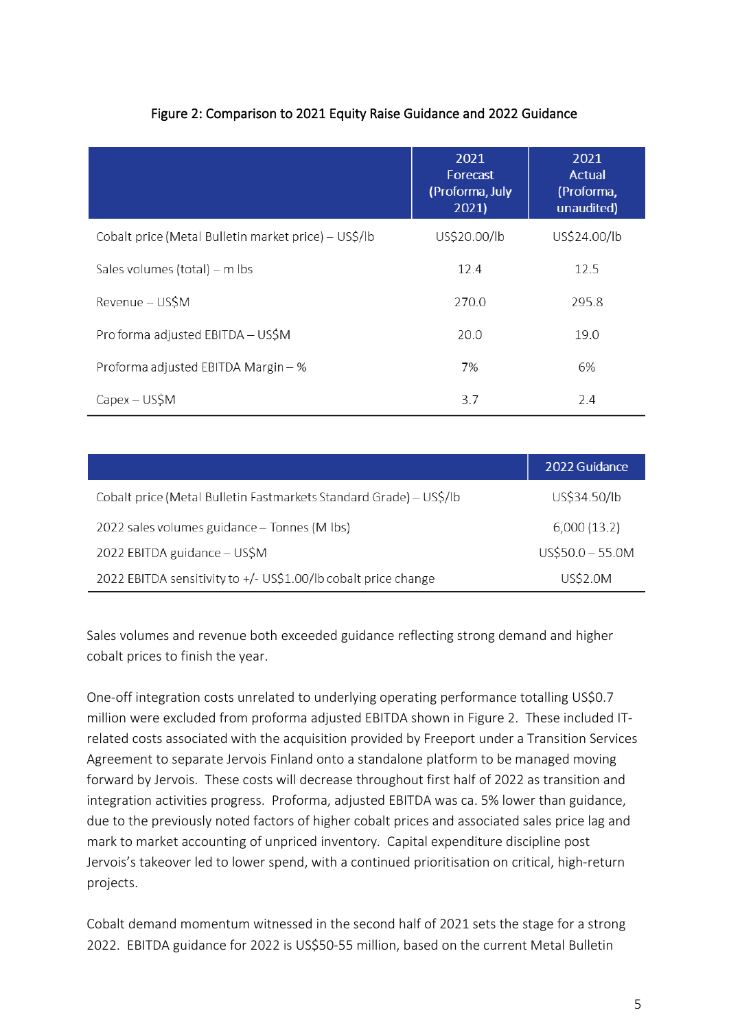|                                                      | 2021<br>Forecast<br>(Proforma, July<br>2021 | 2021<br>Actual<br>(Proforma,<br>unaudited) |
|------------------------------------------------------|---------------------------------------------|--------------------------------------------|
| Cobalt price (Metal Bulletin market price) – US\$/lb | US\$20.00/lb                                | US\$24.00/lb                               |
| Sales volumes (total) – m lbs                        | 12.4                                        | 12.5                                       |
| Revenue - US\$M                                      | 270.0                                       | 295.8                                      |
| Pro forma adjusted EBITDA - US\$M                    | 20.0                                        | 19.0                                       |
| Proforma adjusted EBITDA Margin - %                  | 7%                                          | 6%                                         |
| $Capex - US$M$                                       | 3.7                                         | 2.4                                        |

## Figure 2: Comparison to 2021 Equity Raise Guidance and 2022 Guidance

|                                                                    | 2022 Guidance     |
|--------------------------------------------------------------------|-------------------|
| Cobalt price (Metal Bulletin Fastmarkets Standard Grade) - US\$/lb | US\$34.50/lb      |
| 2022 sales volumes guidance - Tonnes (M lbs)                       | 6,000(13.2)       |
| 2022 EBITDA guidance - US\$M                                       | $US$50.0 - 55.0M$ |
| 2022 EBITDA sensitivity to +/- US\$1.00/lb cobalt price change     | US\$2.0M          |

Sales volumes and revenue both exceeded guidance reflecting strong demand and higher cobalt prices to finish the year.

One-off integration costs unrelated to underlying operating performance totalling US\$0.7 million were excluded from proforma adjusted EBITDA shown in Figure 2. These included ITrelated costs associated with the acquisition provided by Freeport under a Transition Services Agreement to separate Jervois Finland onto a standalone platform to be managed moving forward by Jervois. These costs will decrease throughout first half of 2022 as transition and integration activities progress. Proforma, adjusted EBITDA was ca. 5% lower than guidance, due to the previously noted factors of higher cobalt prices and associated sales price lag and mark to market accounting of unpriced inventory. Capital expenditure discipline post Jervois's takeover led to lower spend, with a continued prioritisation on critical, high-return projects.

Cobalt demand momentum witnessed in the second half of 2021 sets the stage for a strong 2022. EBITDA guidance for 2022 is US\$50-55 million, based on the current Metal Bulletin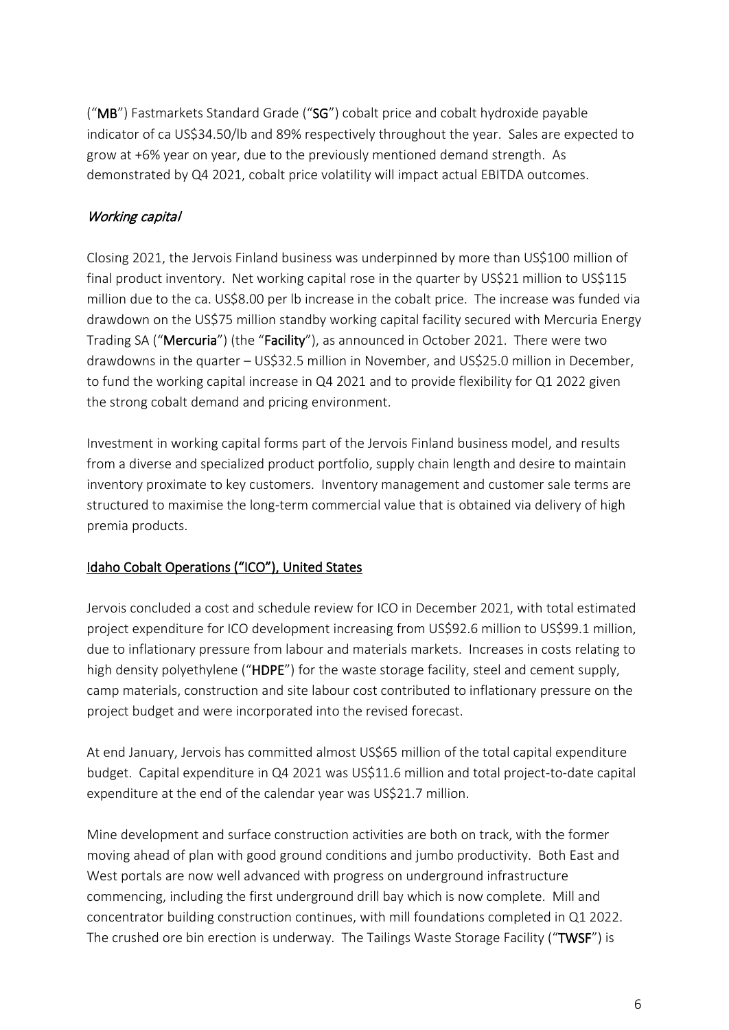("MB") Fastmarkets Standard Grade ("SG") cobalt price and cobalt hydroxide payable indicator of ca US\$34.50/lb and 89% respectively throughout the year. Sales are expected to grow at +6% year on year, due to the previously mentioned demand strength. As demonstrated by Q4 2021, cobalt price volatility will impact actual EBITDA outcomes.

# Working capital

Closing 2021, the Jervois Finland business was underpinned by more than US\$100 million of final product inventory. Net working capital rose in the quarter by US\$21 million to US\$115 million due to the ca. US\$8.00 per lb increase in the cobalt price. The increase was funded via drawdown on the US\$75 million standby working capital facility secured with Mercuria Energy Trading SA ("Mercuria") (the "Facility"), as announced in October 2021. There were two drawdowns in the quarter – US\$32.5 million in November, and US\$25.0 million in December, to fund the working capital increase in Q4 2021 and to provide flexibility for Q1 2022 given the strong cobalt demand and pricing environment.

Investment in working capital forms part of the Jervois Finland business model, and results from a diverse and specialized product portfolio, supply chain length and desire to maintain inventory proximate to key customers. Inventory management and customer sale terms are structured to maximise the long-term commercial value that is obtained via delivery of high premia products.

# Idaho Cobalt Operations ("ICO"), United States

Jervois concluded a cost and schedule review for ICO in December 2021, with total estimated project expenditure for ICO development increasing from US\$92.6 million to US\$99.1 million, due to inflationary pressure from labour and materials markets. Increases in costs relating to high density polyethylene ("HDPE") for the waste storage facility, steel and cement supply, camp materials, construction and site labour cost contributed to inflationary pressure on the project budget and were incorporated into the revised forecast.

At end January, Jervois has committed almost US\$65 million of the total capital expenditure budget. Capital expenditure in Q4 2021 was US\$11.6 million and total project-to-date capital expenditure at the end of the calendar year was US\$21.7 million.

Mine development and surface construction activities are both on track, with the former moving ahead of plan with good ground conditions and jumbo productivity. Both East and West portals are now well advanced with progress on underground infrastructure commencing, including the first underground drill bay which is now complete. Mill and concentrator building construction continues, with mill foundations completed in Q1 2022. The crushed ore bin erection is underway. The Tailings Waste Storage Facility ("TWSF") is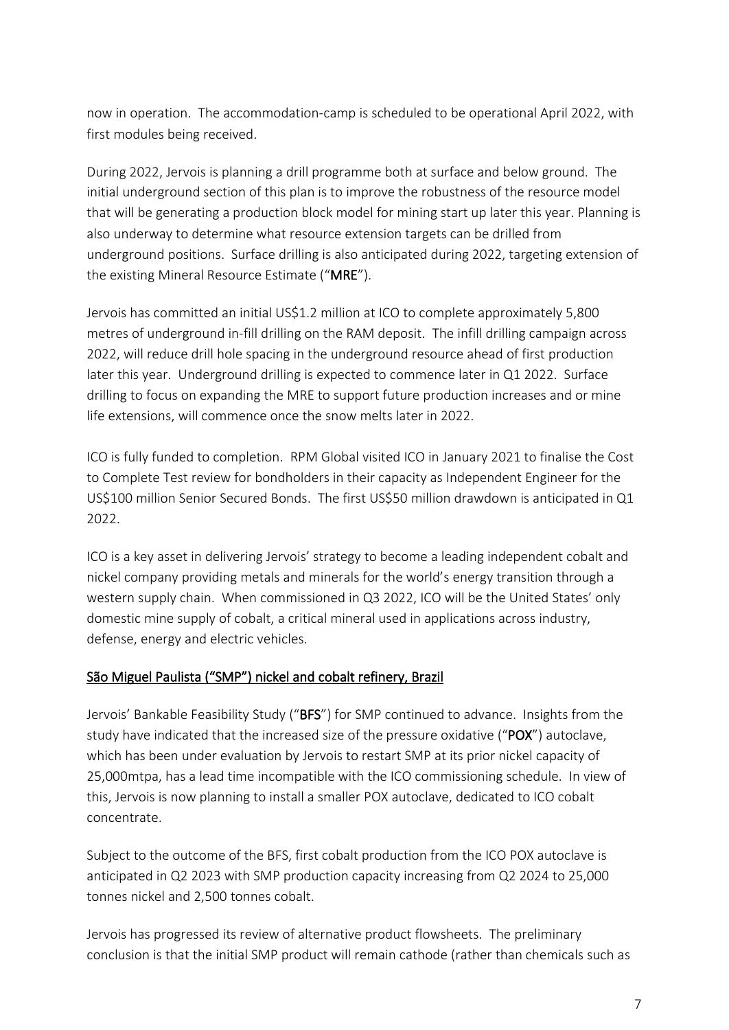now in operation. The accommodation-camp is scheduled to be operational April 2022, with first modules being received.

During 2022, Jervois is planning a drill programme both at surface and below ground. The initial underground section of this plan is to improve the robustness of the resource model that will be generating a production block model for mining start up later this year. Planning is also underway to determine what resource extension targets can be drilled from underground positions. Surface drilling is also anticipated during 2022, targeting extension of the existing Mineral Resource Estimate ("MRE").

Jervois has committed an initial US\$1.2 million at ICO to complete approximately 5,800 metres of underground in-fill drilling on the RAM deposit. The infill drilling campaign across 2022, will reduce drill hole spacing in the underground resource ahead of first production later this year. Underground drilling is expected to commence later in Q1 2022. Surface drilling to focus on expanding the MRE to support future production increases and or mine life extensions, will commence once the snow melts later in 2022.

ICO is fully funded to completion. RPM Global visited ICO in January 2021 to finalise the Cost to Complete Test review for bondholders in their capacity as Independent Engineer for the US\$100 million Senior Secured Bonds. The first US\$50 million drawdown is anticipated in Q1 2022.

ICO is a key asset in delivering Jervois' strategy to become a leading independent cobalt and nickel company providing metals and minerals for the world's energy transition through a western supply chain. When commissioned in Q3 2022, ICO will be the United States' only domestic mine supply of cobalt, a critical mineral used in applications across industry, defense, energy and electric vehicles.

## São Miguel Paulista ("SMP") nickel and cobalt refinery, Brazil

Jervois' Bankable Feasibility Study ("BFS") for SMP continued to advance. Insights from the study have indicated that the increased size of the pressure oxidative ("POX") autoclave, which has been under evaluation by Jervois to restart SMP at its prior nickel capacity of 25,000mtpa, has a lead time incompatible with the ICO commissioning schedule. In view of this, Jervois is now planning to install a smaller POX autoclave, dedicated to ICO cobalt concentrate.

Subject to the outcome of the BFS, first cobalt production from the ICO POX autoclave is anticipated in Q2 2023 with SMP production capacity increasing from Q2 2024 to 25,000 tonnes nickel and 2,500 tonnes cobalt.

Jervois has progressed its review of alternative product flowsheets. The preliminary conclusion is that the initial SMP product will remain cathode (rather than chemicals such as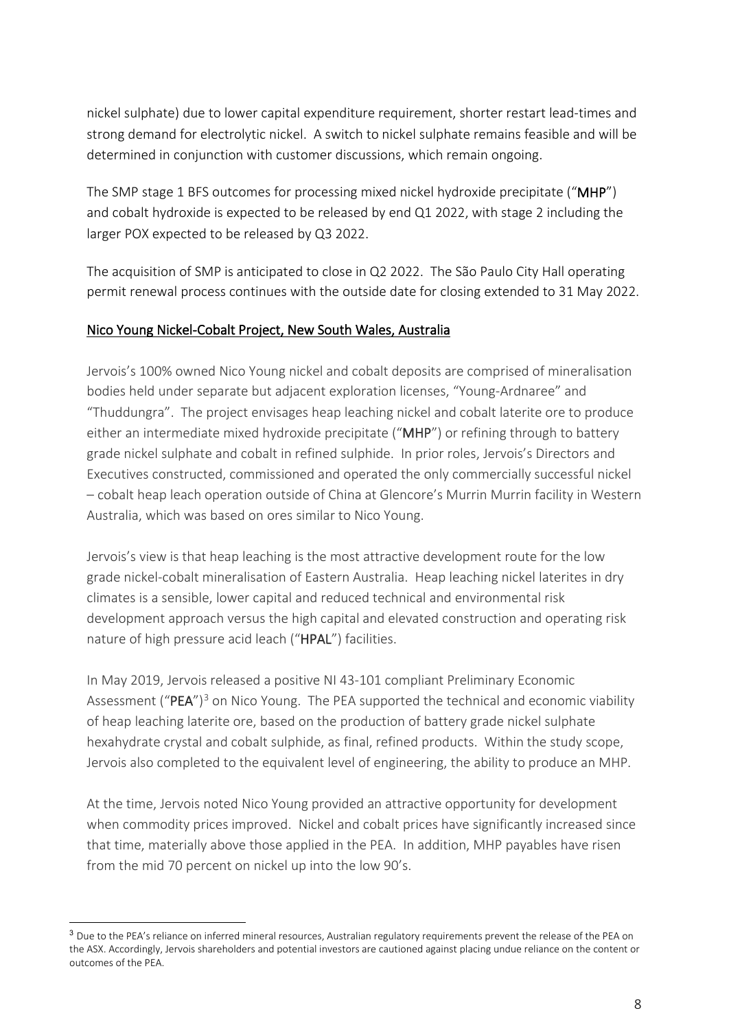nickel sulphate) due to lower capital expenditure requirement, shorter restart lead-times and strong demand for electrolytic nickel. A switch to nickel sulphate remains feasible and will be determined in conjunction with customer discussions, which remain ongoing.

The SMP stage 1 BFS outcomes for processing mixed nickel hydroxide precipitate ("MHP") and cobalt hydroxide is expected to be released by end Q1 2022, with stage 2 including the larger POX expected to be released by Q3 2022.

The acquisition of SMP is anticipated to close in Q2 2022. The São Paulo City Hall operating permit renewal process continues with the outside date for closing extended to 31 May 2022.

#### Nico Young Nickel-Cobalt Project, New South Wales, Australia

Jervois's 100% owned Nico Young nickel and cobalt deposits are comprised of mineralisation bodies held under separate but adjacent exploration licenses, "Young-Ardnaree" and "Thuddungra". The project envisages heap leaching nickel and cobalt laterite ore to produce either an intermediate mixed hydroxide precipitate ("MHP") or refining through to battery grade nickel sulphate and cobalt in refined sulphide. In prior roles, Jervois's Directors and Executives constructed, commissioned and operated the only commercially successful nickel – cobalt heap leach operation outside of China at Glencore's Murrin Murrin facility in Western Australia, which was based on ores similar to Nico Young.

Jervois's view is that heap leaching is the most attractive development route for the low grade nickel-cobalt mineralisation of Eastern Australia. Heap leaching nickel laterites in dry climates is a sensible, lower capital and reduced technical and environmental risk development approach versus the high capital and elevated construction and operating risk nature of high pressure acid leach ("HPAL") facilities.

In May 2019, Jervois released a positive NI 43-101 compliant Preliminary Economic Assessment (" $PEA$ ")<sup>[3](#page-7-0)</sup> on Nico Young. The PEA supported the technical and economic viability of heap leaching laterite ore, based on the production of battery grade nickel sulphate hexahydrate crystal and cobalt sulphide, as final, refined products. Within the study scope, Jervois also completed to the equivalent level of engineering, the ability to produce an MHP.

At the time, Jervois noted Nico Young provided an attractive opportunity for development when commodity prices improved. Nickel and cobalt prices have significantly increased since that time, materially above those applied in the PEA. In addition, MHP payables have risen from the mid 70 percent on nickel up into the low 90's.

<span id="page-7-0"></span><sup>&</sup>lt;sup>3</sup> Due to the PEA's reliance on inferred mineral resources, Australian regulatory requirements prevent the release of the PEA on the ASX. Accordingly, Jervois shareholders and potential investors are cautioned against placing undue reliance on the content or outcomes of the PEA.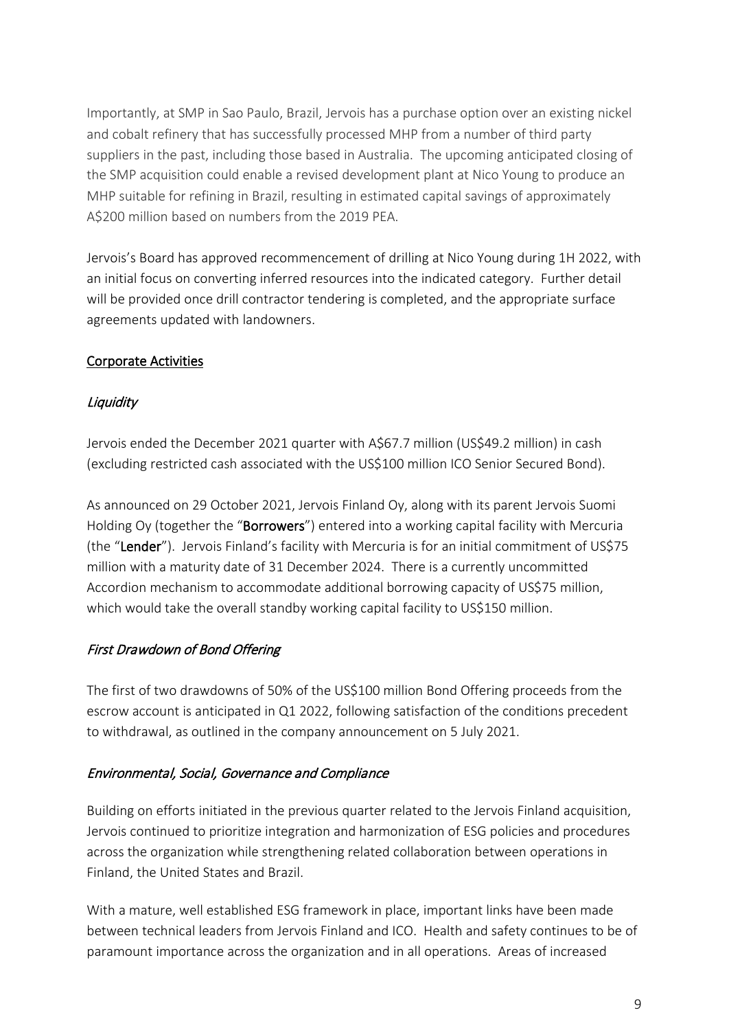Importantly, at SMP in Sao Paulo, Brazil, Jervois has a purchase option over an existing nickel and cobalt refinery that has successfully processed MHP from a number of third party suppliers in the past, including those based in Australia. The upcoming anticipated closing of the SMP acquisition could enable a revised development plant at Nico Young to produce an MHP suitable for refining in Brazil, resulting in estimated capital savings of approximately A\$200 million based on numbers from the 2019 PEA.

Jervois's Board has approved recommencement of drilling at Nico Young during 1H 2022, with an initial focus on converting inferred resources into the indicated category. Further detail will be provided once drill contractor tendering is completed, and the appropriate surface agreements updated with landowners.

## Corporate Activities

## **Liquidity**

Jervois ended the December 2021 quarter with A\$67.7 million (US\$49.2 million) in cash (excluding restricted cash associated with the US\$100 million ICO Senior Secured Bond).

As announced on 29 October 2021, Jervois Finland Oy, along with its parent Jervois Suomi Holding Oy (together the "Borrowers") entered into a working capital facility with Mercuria (the "Lender"). Jervois Finland's facility with Mercuria is for an initial commitment of US\$75 million with a maturity date of 31 December 2024. There is a currently uncommitted Accordion mechanism to accommodate additional borrowing capacity of US\$75 million, which would take the overall standby working capital facility to US\$150 million.

# First Drawdown of Bond Offering

The first of two drawdowns of 50% of the US\$100 million Bond Offering proceeds from the escrow account is anticipated in Q1 2022, following satisfaction of the conditions precedent to withdrawal, as outlined in the company announcement on 5 July 2021.

## Environmental, Social, Governance and Compliance

Building on efforts initiated in the previous quarter related to the Jervois Finland acquisition, Jervois continued to prioritize integration and harmonization of ESG policies and procedures across the organization while strengthening related collaboration between operations in Finland, the United States and Brazil.

With a mature, well established ESG framework in place, important links have been made between technical leaders from Jervois Finland and ICO. Health and safety continues to be of paramount importance across the organization and in all operations. Areas of increased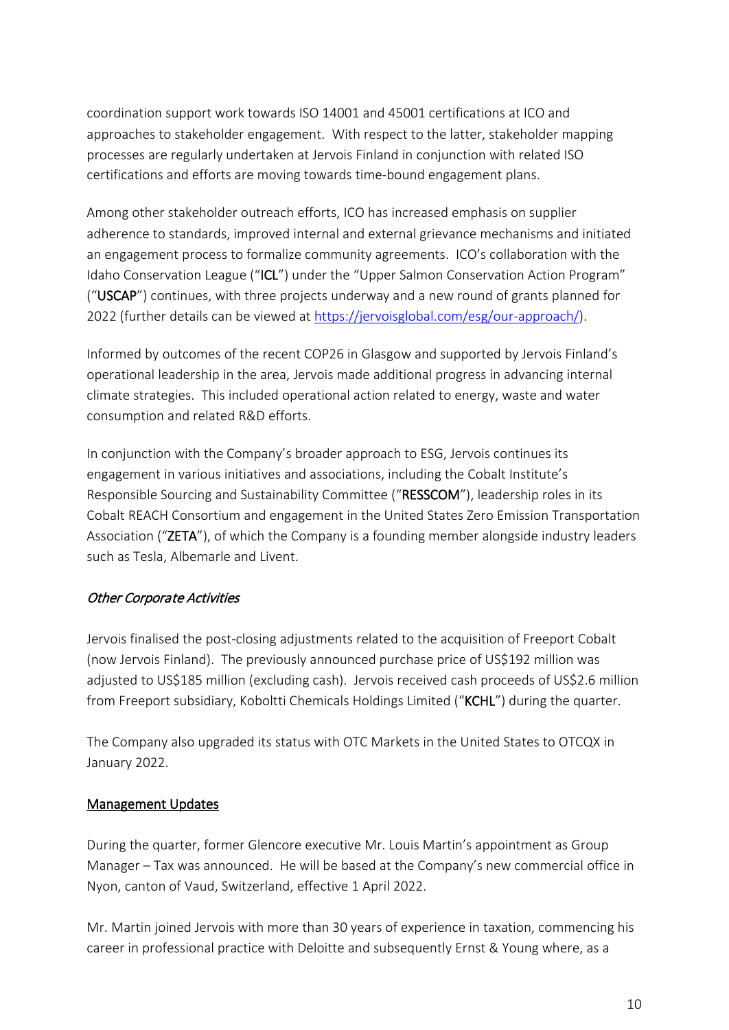coordination support work towards ISO 14001 and 45001 certifications at ICO and approaches to stakeholder engagement. With respect to the latter, stakeholder mapping processes are regularly undertaken at Jervois Finland in conjunction with related ISO certifications and efforts are moving towards time-bound engagement plans.

Among other stakeholder outreach efforts, ICO has increased emphasis on supplier adherence to standards, improved internal and external grievance mechanisms and initiated an engagement process to formalize community agreements. ICO's collaboration with the Idaho Conservation League ("ICL") under the "Upper Salmon Conservation Action Program" ("USCAP") continues, with three projects underway and a new round of grants planned for 2022 (further details can be viewed at [https://jervoisglobal.com/esg/our-approach/\)](https://jervoisglobal.com/esg/our-approach/).

Informed by outcomes of the recent COP26 in Glasgow and supported by Jervois Finland's operational leadership in the area, Jervois made additional progress in advancing internal climate strategies. This included operational action related to energy, waste and water consumption and related R&D efforts.

In conjunction with the Company's broader approach to ESG, Jervois continues its engagement in various initiatives and associations, including the Cobalt Institute's Responsible Sourcing and Sustainability Committee ("RESSCOM"), leadership roles in its Cobalt REACH Consortium and engagement in the United States Zero Emission Transportation Association ("ZETA"), of which the Company is a founding member alongside industry leaders such as Tesla, Albemarle and Livent.

## Other Corporate Activities

Jervois finalised the post-closing adjustments related to the acquisition of Freeport Cobalt (now Jervois Finland). The previously announced purchase price of US\$192 million was adjusted to US\$185 million (excluding cash). Jervois received cash proceeds of US\$2.6 million from Freeport subsidiary, Koboltti Chemicals Holdings Limited ("KCHL") during the quarter.

The Company also upgraded its status with OTC Markets in the United States to OTCQX in January 2022.

## Management Updates

During the quarter, former Glencore executive Mr. Louis Martin's appointment as Group Manager – Tax was announced. He will be based at the Company's new commercial office in Nyon, canton of Vaud, Switzerland, effective 1 April 2022.

Mr. Martin joined Jervois with more than 30 years of experience in taxation, commencing his career in professional practice with Deloitte and subsequently Ernst & Young where, as a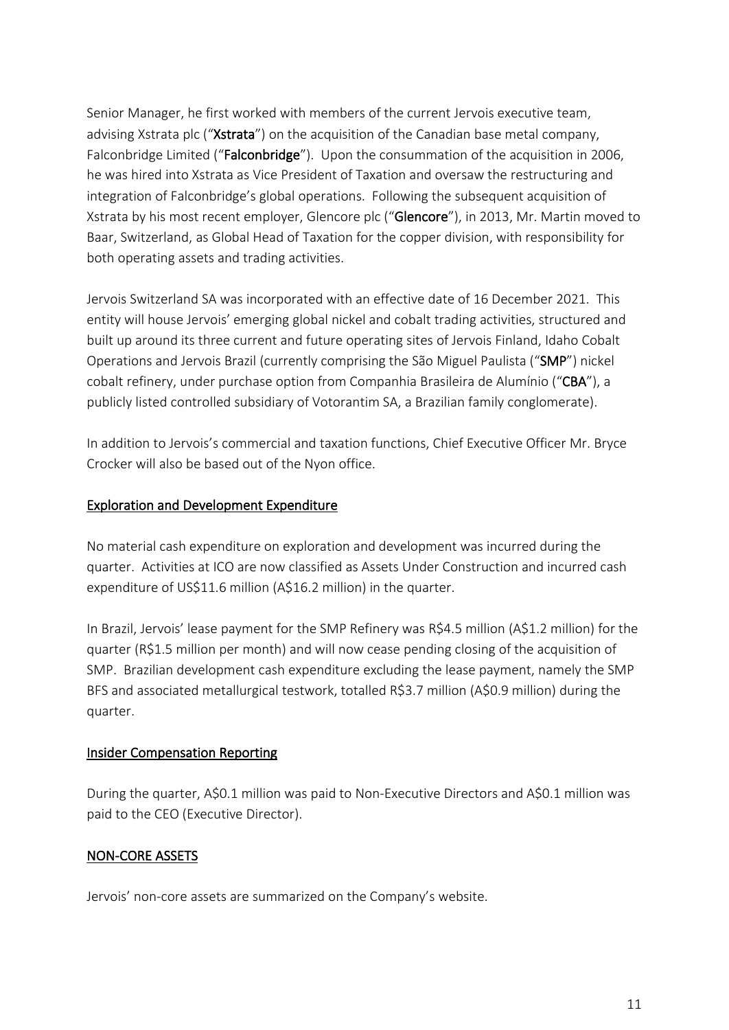Senior Manager, he first worked with members of the current Jervois executive team, advising Xstrata plc ("Xstrata") on the acquisition of the Canadian base metal company, Falconbridge Limited ("Falconbridge"). Upon the consummation of the acquisition in 2006, he was hired into Xstrata as Vice President of Taxation and oversaw the restructuring and integration of Falconbridge's global operations. Following the subsequent acquisition of Xstrata by his most recent employer, Glencore plc ("Glencore"), in 2013, Mr. Martin moved to Baar, Switzerland, as Global Head of Taxation for the copper division, with responsibility for both operating assets and trading activities.

Jervois Switzerland SA was incorporated with an effective date of 16 December 2021. This entity will house Jervois' emerging global nickel and cobalt trading activities, structured and built up around its three current and future operating sites of Jervois Finland, Idaho Cobalt Operations and Jervois Brazil (currently comprising the São Miguel Paulista ("SMP") nickel cobalt refinery, under purchase option from Companhia Brasileira de Alumínio ("CBA"), a publicly listed controlled subsidiary of Votorantim SA, a Brazilian family conglomerate).

In addition to Jervois's commercial and taxation functions, Chief Executive Officer Mr. Bryce Crocker will also be based out of the Nyon office.

## Exploration and Development Expenditure

No material cash expenditure on exploration and development was incurred during the quarter. Activities at ICO are now classified as Assets Under Construction and incurred cash expenditure of US\$11.6 million (A\$16.2 million) in the quarter.

In Brazil, Jervois' lease payment for the SMP Refinery was R\$4.5 million (A\$1.2 million) for the quarter (R\$1.5 million per month) and will now cease pending closing of the acquisition of SMP. Brazilian development cash expenditure excluding the lease payment, namely the SMP BFS and associated metallurgical testwork, totalled R\$3.7 million (A\$0.9 million) during the quarter.

## Insider Compensation Reporting

During the quarter, A\$0.1 million was paid to Non-Executive Directors and A\$0.1 million was paid to the CEO (Executive Director).

# NON-CORE ASSETS

Jervois' non-core assets are summarized on the Company's website.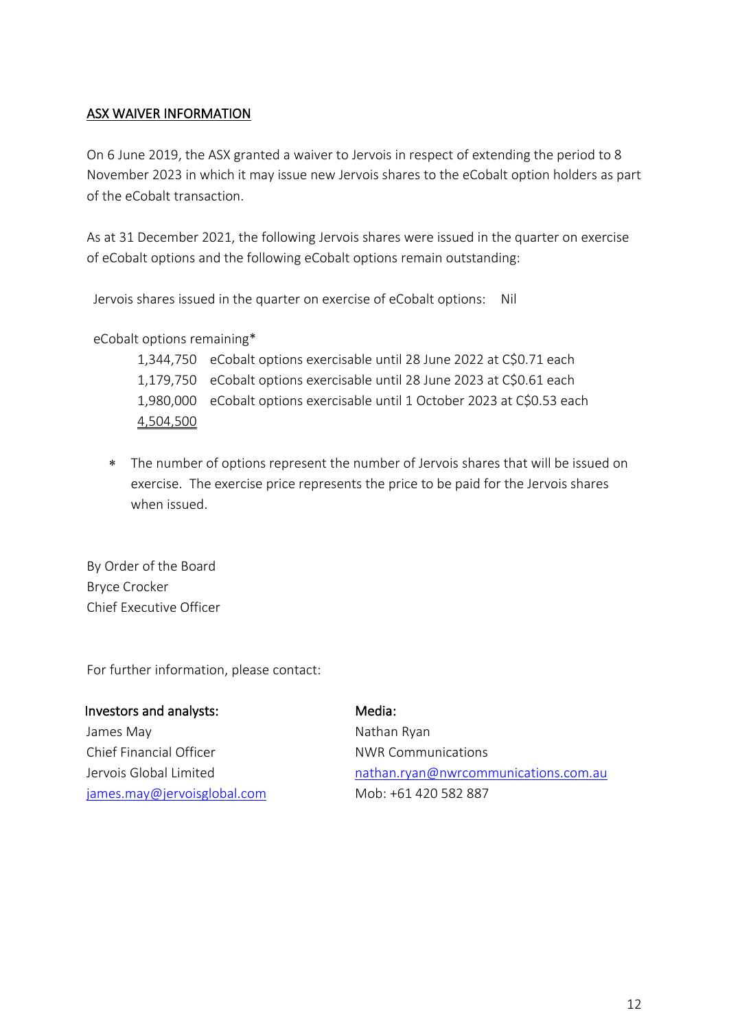#### ASX WAIVER INFORMATION

On 6 June 2019, the ASX granted a waiver to Jervois in respect of extending the period to 8 November 2023 in which it may issue new Jervois shares to the eCobalt option holders as part of the eCobalt transaction.

As at 31 December 2021, the following Jervois shares were issued in the quarter on exercise of eCobalt options and the following eCobalt options remain outstanding:

Jervois shares issued in the quarter on exercise of eCobalt options: Nil

eCobalt options remaining\*

1,344,750 eCobalt options exercisable until 28 June 2022 at C\$0.71 each 1,179,750 eCobalt options exercisable until 28 June 2023 at C\$0.61 each 1,980,000 eCobalt options exercisable until 1 October 2023 at C\$0.53 each 4,504,500

∗ The number of options represent the number of Jervois shares that will be issued on exercise. The exercise price represents the price to be paid for the Jervois shares when issued.

By Order of the Board Bryce Crocker Chief Executive Officer

For further information, please contact:

| Investors and analysts:     | Media:                               |
|-----------------------------|--------------------------------------|
| James May                   | Nathan Ryan                          |
| Chief Financial Officer     | <b>NWR Communications</b>            |
| Jervois Global Limited      | nathan.ryan@nwrcommunications.com.au |
| james.may@jervoisglobal.com | Mob: +61 420 582 887                 |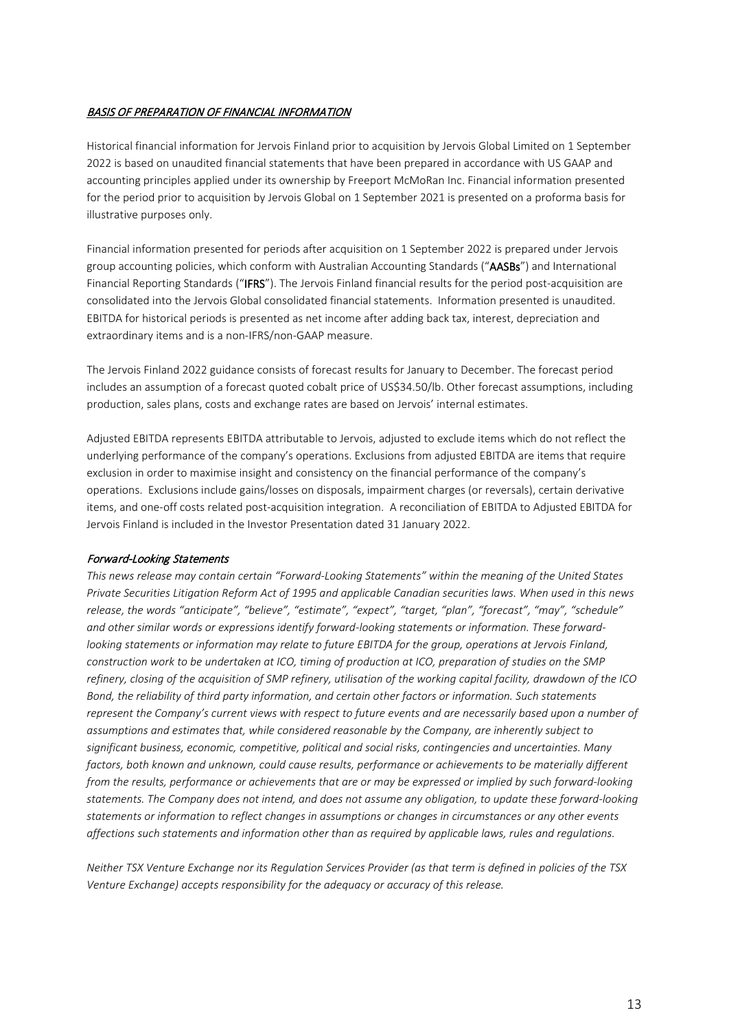#### BASIS OF PREPARATION OF FINANCIAL INFORMATION

Historical financial information for Jervois Finland prior to acquisition by Jervois Global Limited on 1 September 2022 is based on unaudited financial statements that have been prepared in accordance with US GAAP and accounting principles applied under its ownership by Freeport McMoRan Inc. Financial information presented for the period prior to acquisition by Jervois Global on 1 September 2021 is presented on a proforma basis for illustrative purposes only.

Financial information presented for periods after acquisition on 1 September 2022 is prepared under Jervois group accounting policies, which conform with Australian Accounting Standards ("AASBs") and International Financial Reporting Standards ("IFRS"). The Jervois Finland financial results for the period post-acquisition are consolidated into the Jervois Global consolidated financial statements. Information presented is unaudited. EBITDA for historical periods is presented as net income after adding back tax, interest, depreciation and extraordinary items and is a non-IFRS/non-GAAP measure.

The Jervois Finland 2022 guidance consists of forecast results for January to December. The forecast period includes an assumption of a forecast quoted cobalt price of US\$34.50/lb. Other forecast assumptions, including production, sales plans, costs and exchange rates are based on Jervois' internal estimates.

Adjusted EBITDA represents EBITDA attributable to Jervois, adjusted to exclude items which do not reflect the underlying performance of the company's operations. Exclusions from adjusted EBITDA are items that require exclusion in order to maximise insight and consistency on the financial performance of the company's operations. Exclusions include gains/losses on disposals, impairment charges (or reversals), certain derivative items, and one-off costs related post-acquisition integration. A reconciliation of EBITDA to Adjusted EBITDA for Jervois Finland is included in the Investor Presentation dated 31 January 2022.

#### Forward-Looking Statements

*This news release may contain certain "Forward-Looking Statements" within the meaning of the United States Private Securities Litigation Reform Act of 1995 and applicable Canadian securities laws. When used in this news release, the words "anticipate", "believe", "estimate", "expect", "target, "plan", "forecast", "may", "schedule" and other similar words or expressions identify forward-looking statements or information. These forwardlooking statements or information may relate to future EBITDA for the group, operations at Jervois Finland, construction work to be undertaken at ICO, timing of production at ICO, preparation of studies on the SMP refinery, closing of the acquisition of SMP refinery, utilisation of the working capital facility, drawdown of the ICO Bond, the reliability of third party information, and certain other factors or information. Such statements represent the Company's current views with respect to future events and are necessarily based upon a number of assumptions and estimates that, while considered reasonable by the Company, are inherently subject to significant business, economic, competitive, political and social risks, contingencies and uncertainties. Many factors, both known and unknown, could cause results, performance or achievements to be materially different from the results, performance or achievements that are or may be expressed or implied by such forward-looking statements. The Company does not intend, and does not assume any obligation, to update these forward-looking statements or information to reflect changes in assumptions or changes in circumstances or any other events affections such statements and information other than as required by applicable laws, rules and regulations.*

*Neither TSX Venture Exchange nor its Regulation Services Provider (as that term is defined in policies of the TSX Venture Exchange) accepts responsibility for the adequacy or accuracy of this release.*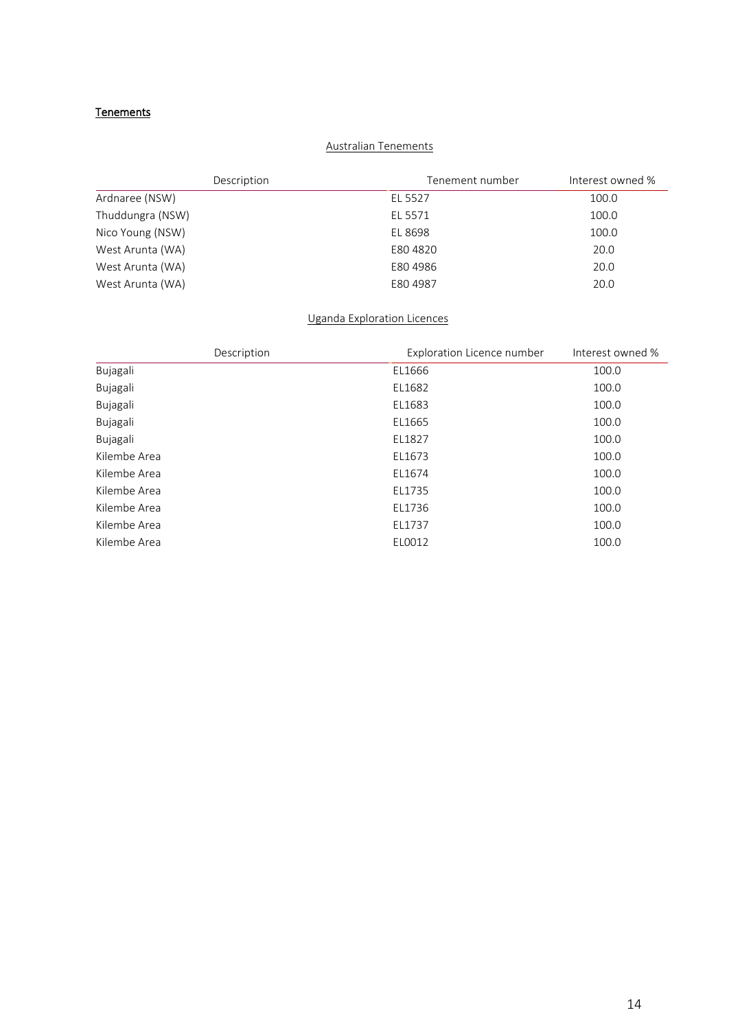#### **Tenements**

#### Australian Tenements

| Description      | Tenement number | Interest owned % |
|------------------|-----------------|------------------|
| Ardnaree (NSW)   | EL 5527         | 100.0            |
| Thuddungra (NSW) | EL 5571         | 100.0            |
| Nico Young (NSW) | EL 8698         | 100.0            |
| West Arunta (WA) | E804820         | 20.0             |
| West Arunta (WA) | E80 4986        | 20.0             |
| West Arunta (WA) | E80 4987        | 20.0             |

#### Uganda Exploration Licences

| Description  | <b>Exploration Licence number</b> | Interest owned % |
|--------------|-----------------------------------|------------------|
| Bujagali     | EL1666                            | 100.0            |
| Bujagali     | EL1682                            | 100.0            |
| Bujagali     | EL1683                            | 100.0            |
| Bujagali     | EL1665                            | 100.0            |
| Bujagali     | EL1827                            | 100.0            |
| Kilembe Area | EL1673                            | 100.0            |
| Kilembe Area | EL1674                            | 100.0            |
| Kilembe Area | EL1735                            | 100.0            |
| Kilembe Area | EL1736                            | 100.0            |
| Kilembe Area | EL1737                            | 100.0            |
| Kilembe Area | EL0012                            | 100.0            |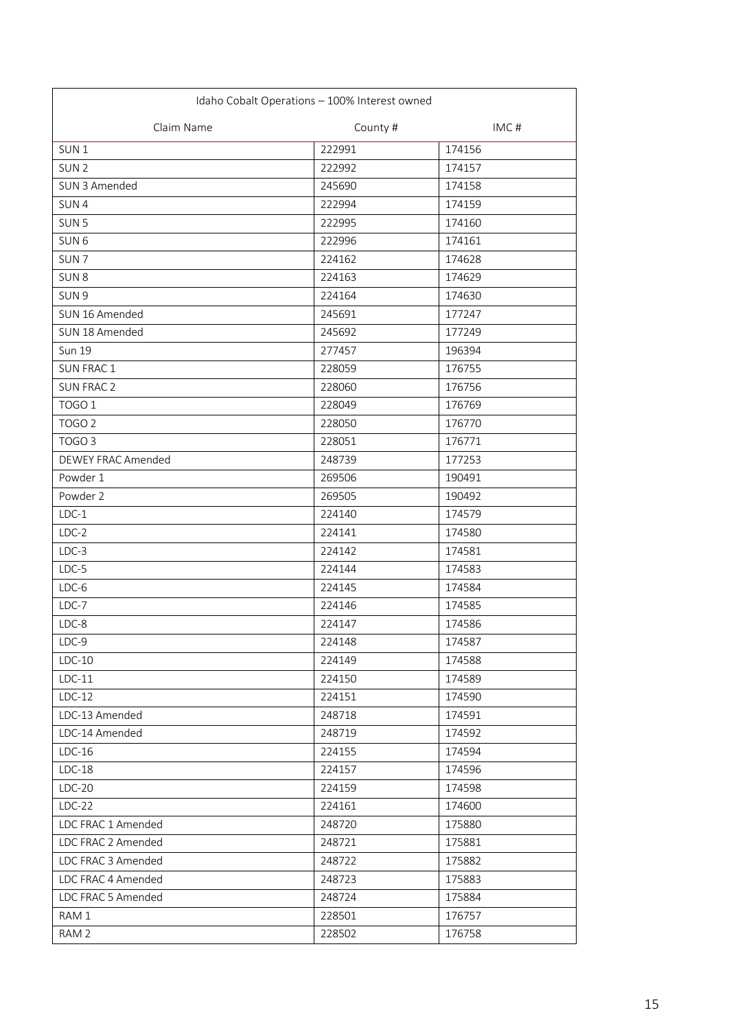| Idaho Cobalt Operations - 100% Interest owned |          |        |
|-----------------------------------------------|----------|--------|
| Claim Name                                    | County # | IMC#   |
| SUN <sub>1</sub>                              | 222991   | 174156 |
| SUN <sub>2</sub>                              | 222992   | 174157 |
| SUN 3 Amended                                 | 245690   | 174158 |
| SUN4                                          | 222994   | 174159 |
| SUN <sub>5</sub>                              | 222995   | 174160 |
| SUN <sub>6</sub>                              | 222996   | 174161 |
| SUN <sub>7</sub>                              | 224162   | 174628 |
| SUN <sub>8</sub>                              | 224163   | 174629 |
| SUN <sub>9</sub>                              | 224164   | 174630 |
| SUN 16 Amended                                | 245691   | 177247 |
| SUN 18 Amended                                | 245692   | 177249 |
| <b>Sun 19</b>                                 | 277457   | 196394 |
| <b>SUN FRAC1</b>                              | 228059   | 176755 |
| <b>SUN FRAC 2</b>                             | 228060   | 176756 |
| TOGO <sub>1</sub>                             | 228049   | 176769 |
| TOGO <sub>2</sub>                             | 228050   | 176770 |
| TOGO <sub>3</sub>                             | 228051   | 176771 |
| <b>DEWEY FRAC Amended</b>                     | 248739   | 177253 |
| Powder 1                                      | 269506   | 190491 |
| Powder 2                                      | 269505   | 190492 |
| $LDC-1$                                       | 224140   | 174579 |
| $LDC-2$                                       | 224141   | 174580 |
| $LDC-3$                                       | 224142   | 174581 |
| $LDC-5$                                       | 224144   | 174583 |
| $LDC-6$                                       | 224145   | 174584 |
| $LDC-7$                                       | 224146   | 174585 |
| $LDC-8$                                       | 224147   | 174586 |
| LDC-9                                         | 224148   | 174587 |
| $LDC-10$                                      | 224149   | 174588 |
| $LDC-11$                                      | 224150   | 174589 |
| $LDC-12$                                      | 224151   | 174590 |
| LDC-13 Amended                                | 248718   | 174591 |
| LDC-14 Amended                                | 248719   | 174592 |
| $LDC-16$                                      | 224155   | 174594 |
| $LDC-18$                                      | 224157   | 174596 |
| $LDC-20$                                      | 224159   | 174598 |
| $LDC-22$                                      | 224161   | 174600 |
| LDC FRAC 1 Amended                            | 248720   | 175880 |
| LDC FRAC 2 Amended                            | 248721   | 175881 |
| LDC FRAC 3 Amended                            | 248722   | 175882 |
| LDC FRAC 4 Amended                            | 248723   | 175883 |
| LDC FRAC 5 Amended                            | 248724   | 175884 |
| RAM 1                                         | 228501   | 176757 |
| RAM 2                                         | 228502   | 176758 |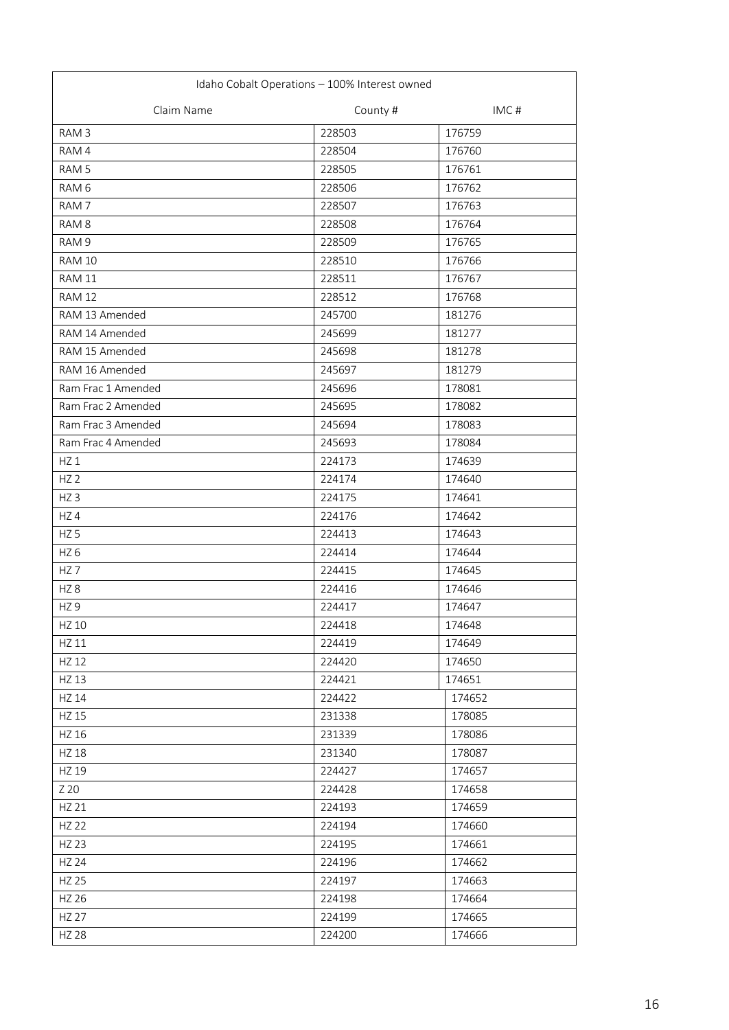| Idaho Cobalt Operations - 100% Interest owned |          |        |
|-----------------------------------------------|----------|--------|
| Claim Name                                    | County # | IMC#   |
| RAM <sub>3</sub>                              | 228503   | 176759 |
| RAM 4                                         | 228504   | 176760 |
| RAM <sub>5</sub>                              | 228505   | 176761 |
| RAM 6                                         | 228506   | 176762 |
| RAM <sub>7</sub>                              | 228507   | 176763 |
| RAM <sub>8</sub>                              | 228508   | 176764 |
| RAM 9                                         | 228509   | 176765 |
| <b>RAM 10</b>                                 | 228510   | 176766 |
| <b>RAM 11</b>                                 | 228511   | 176767 |
| <b>RAM 12</b>                                 | 228512   | 176768 |
| RAM 13 Amended                                | 245700   | 181276 |
| RAM 14 Amended                                | 245699   | 181277 |
| RAM 15 Amended                                | 245698   | 181278 |
| RAM 16 Amended                                | 245697   | 181279 |
| Ram Frac 1 Amended                            | 245696   | 178081 |
| Ram Frac 2 Amended                            | 245695   | 178082 |
| Ram Frac 3 Amended                            | 245694   | 178083 |
| Ram Frac 4 Amended                            | 245693   | 178084 |
| HZ1                                           | 224173   | 174639 |
| HZ <sub>2</sub>                               | 224174   | 174640 |
| HZ <sub>3</sub>                               | 224175   | 174641 |
| HZ4                                           | 224176   | 174642 |
| HZ <sub>5</sub>                               | 224413   | 174643 |
| HZ <sub>6</sub>                               | 224414   | 174644 |
| HZ <sub>7</sub>                               | 224415   | 174645 |
| HZ <sub>8</sub>                               | 224416   | 174646 |
| HZ <sub>9</sub>                               | 224417   | 174647 |
| HZ 10                                         | 224418   | 174648 |
| HZ 11                                         | 224419   | 174649 |
| HZ 12                                         | 224420   | 174650 |
| HZ 13                                         | 224421   | 174651 |
| <b>HZ 14</b>                                  | 224422   | 174652 |
| HZ 15                                         | 231338   | 178085 |
| HZ 16                                         | 231339   | 178086 |
| <b>HZ 18</b>                                  | 231340   | 178087 |
| HZ 19                                         | 224427   | 174657 |
| Z 20                                          | 224428   | 174658 |
| HZ 21                                         | 224193   | 174659 |
| <b>HZ 22</b>                                  | 224194   | 174660 |
| <b>HZ 23</b>                                  | 224195   | 174661 |
| <b>HZ 24</b>                                  | 224196   | 174662 |
| <b>HZ 25</b>                                  | 224197   | 174663 |
| HZ 26                                         | 224198   | 174664 |
| <b>HZ 27</b>                                  | 224199   | 174665 |
| <b>HZ 28</b>                                  | 224200   | 174666 |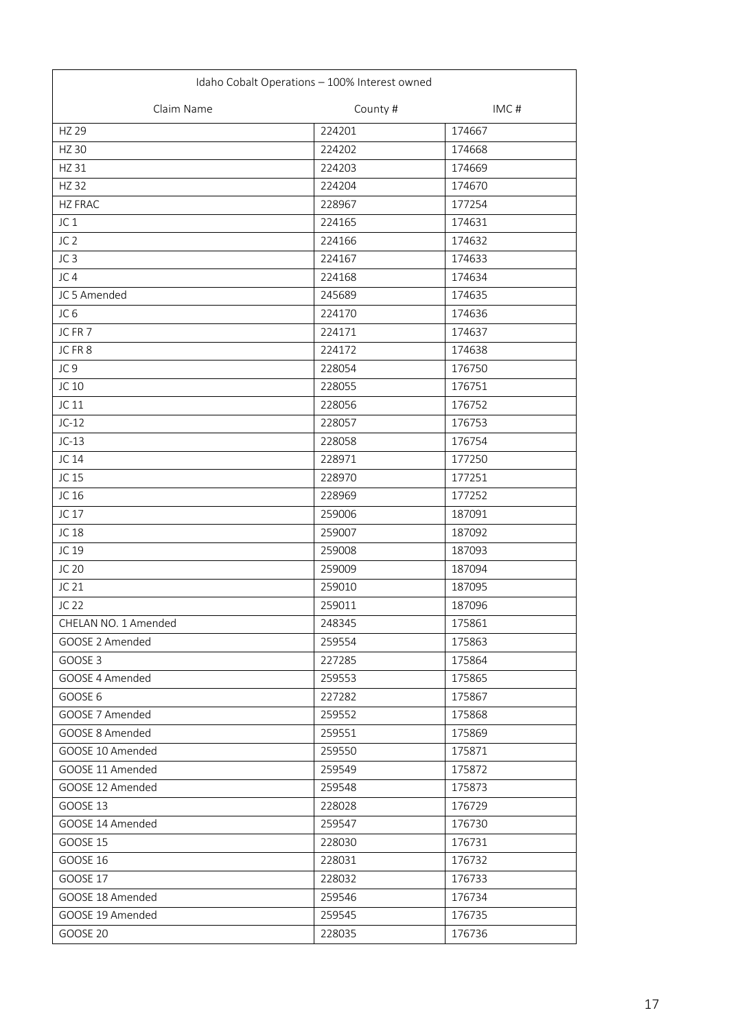| Idaho Cobalt Operations - 100% Interest owned |          |        |
|-----------------------------------------------|----------|--------|
| Claim Name                                    | County # | IMC#   |
| <b>HZ 29</b>                                  | 224201   | 174667 |
| <b>HZ 30</b>                                  | 224202   | 174668 |
| HZ 31                                         | 224203   | 174669 |
| <b>HZ32</b>                                   | 224204   | 174670 |
| <b>HZ FRAC</b>                                | 228967   | 177254 |
| JC <sub>1</sub>                               | 224165   | 174631 |
| JC <sub>2</sub>                               | 224166   | 174632 |
| JC <sub>3</sub>                               | 224167   | 174633 |
| JC4                                           | 224168   | 174634 |
| JC 5 Amended                                  | 245689   | 174635 |
| JC <sub>6</sub>                               | 224170   | 174636 |
| JC FR 7                                       | 224171   | 174637 |
| JCFR8                                         | 224172   | 174638 |
| JC <sub>9</sub>                               | 228054   | 176750 |
| JC 10                                         | 228055   | 176751 |
| JC 11                                         | 228056   | 176752 |
| $JC-12$                                       | 228057   | 176753 |
| $JC-13$                                       | 228058   | 176754 |
| JC 14                                         | 228971   | 177250 |
| JC 15                                         | 228970   | 177251 |
| JC 16                                         | 228969   | 177252 |
| JC 17                                         | 259006   | 187091 |
| JC 18                                         | 259007   | 187092 |
| JC 19                                         | 259008   | 187093 |
| JC 20                                         | 259009   | 187094 |
| JC 21                                         | 259010   | 187095 |
| JC 22                                         | 259011   | 187096 |
| CHELAN NO. 1 Amended                          | 248345   | 175861 |
| GOOSE 2 Amended                               | 259554   | 175863 |
| GOOSE 3                                       | 227285   | 175864 |
| GOOSE 4 Amended                               | 259553   | 175865 |
| GOOSE 6                                       | 227282   | 175867 |
| GOOSE 7 Amended                               | 259552   | 175868 |
| GOOSE 8 Amended                               | 259551   | 175869 |
| GOOSE 10 Amended                              | 259550   | 175871 |
| GOOSE 11 Amended                              | 259549   | 175872 |
| GOOSE 12 Amended                              | 259548   | 175873 |
| <b>GOOSE 13</b>                               | 228028   | 176729 |
| GOOSE 14 Amended                              | 259547   | 176730 |
| <b>GOOSE 15</b>                               | 228030   | 176731 |
| <b>GOOSE 16</b>                               | 228031   | 176732 |
| <b>GOOSE 17</b>                               | 228032   | 176733 |
| GOOSE 18 Amended                              | 259546   | 176734 |
| GOOSE 19 Amended                              | 259545   | 176735 |
| <b>GOOSE 20</b>                               | 228035   | 176736 |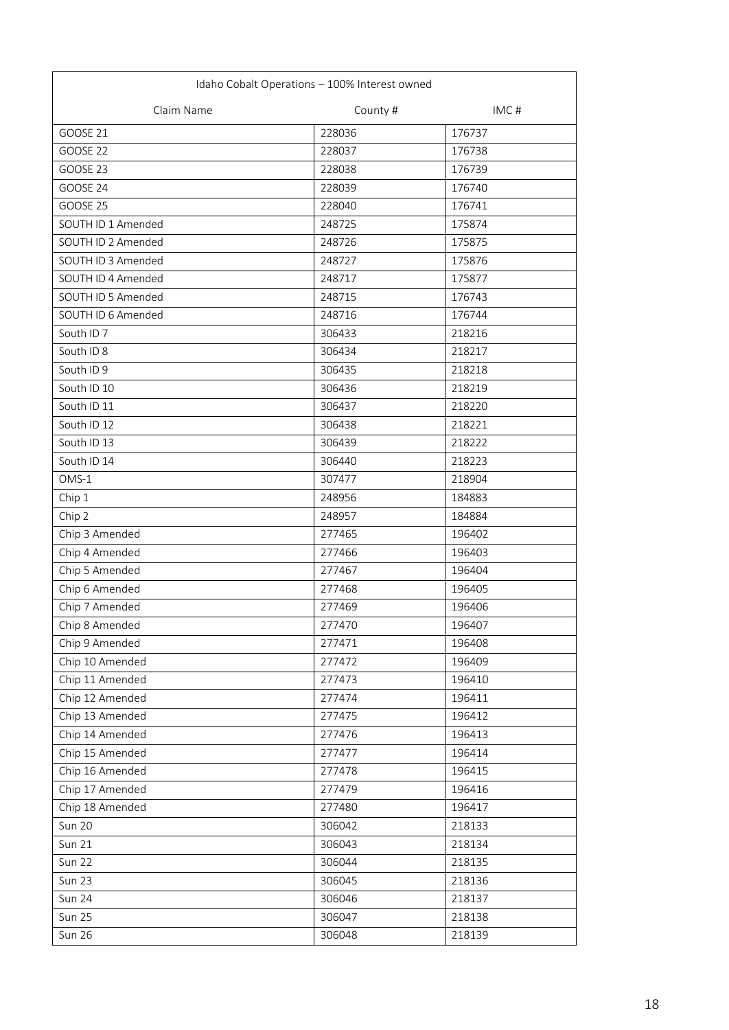| Idaho Cobalt Operations - 100% Interest owned |          |        |
|-----------------------------------------------|----------|--------|
| Claim Name                                    | County # | IMC#   |
| <b>GOOSE 21</b>                               | 228036   | 176737 |
| <b>GOOSE 22</b>                               | 228037   | 176738 |
| GOOSE 23                                      | 228038   | 176739 |
| GOOSE 24                                      | 228039   | 176740 |
| GOOSE 25                                      | 228040   | 176741 |
| SOUTH ID 1 Amended                            | 248725   | 175874 |
| SOUTH ID 2 Amended                            | 248726   | 175875 |
| SOUTH ID 3 Amended                            | 248727   | 175876 |
| SOUTH ID 4 Amended                            | 248717   | 175877 |
| SOUTH ID 5 Amended                            | 248715   | 176743 |
| SOUTH ID 6 Amended                            | 248716   | 176744 |
| South ID <sub>7</sub>                         | 306433   | 218216 |
| South ID 8                                    | 306434   | 218217 |
| South ID 9                                    | 306435   | 218218 |
| South ID 10                                   | 306436   | 218219 |
| South ID 11                                   | 306437   | 218220 |
| South ID 12                                   | 306438   | 218221 |
| South ID 13                                   | 306439   | 218222 |
| South ID 14                                   | 306440   | 218223 |
| $OMS-1$                                       | 307477   | 218904 |
| Chip 1                                        | 248956   | 184883 |
| Chip 2                                        | 248957   | 184884 |
| Chip 3 Amended                                | 277465   | 196402 |
| Chip 4 Amended                                | 277466   | 196403 |
| Chip 5 Amended                                | 277467   | 196404 |
| Chip 6 Amended                                | 277468   | 196405 |
| Chip 7 Amended                                | 277469   | 196406 |
| Chip 8 Amended                                | 277470   | 196407 |
| Chip 9 Amended                                | 277471   | 196408 |
| Chip 10 Amended                               | 277472   | 196409 |
| Chip 11 Amended                               | 277473   | 196410 |
| Chip 12 Amended                               | 277474   | 196411 |
| Chip 13 Amended                               | 277475   | 196412 |
| Chip 14 Amended                               | 277476   | 196413 |
| Chip 15 Amended                               | 277477   | 196414 |
| Chip 16 Amended                               | 277478   | 196415 |
| Chip 17 Amended                               | 277479   | 196416 |
| Chip 18 Amended                               | 277480   | 196417 |
| Sun 20                                        | 306042   | 218133 |
| <b>Sun 21</b>                                 | 306043   | 218134 |
| Sun 22                                        | 306044   | 218135 |
| <b>Sun 23</b>                                 | 306045   | 218136 |
| Sun 24                                        | 306046   | 218137 |
| Sun 25                                        | 306047   | 218138 |
| <b>Sun 26</b>                                 | 306048   | 218139 |
|                                               |          |        |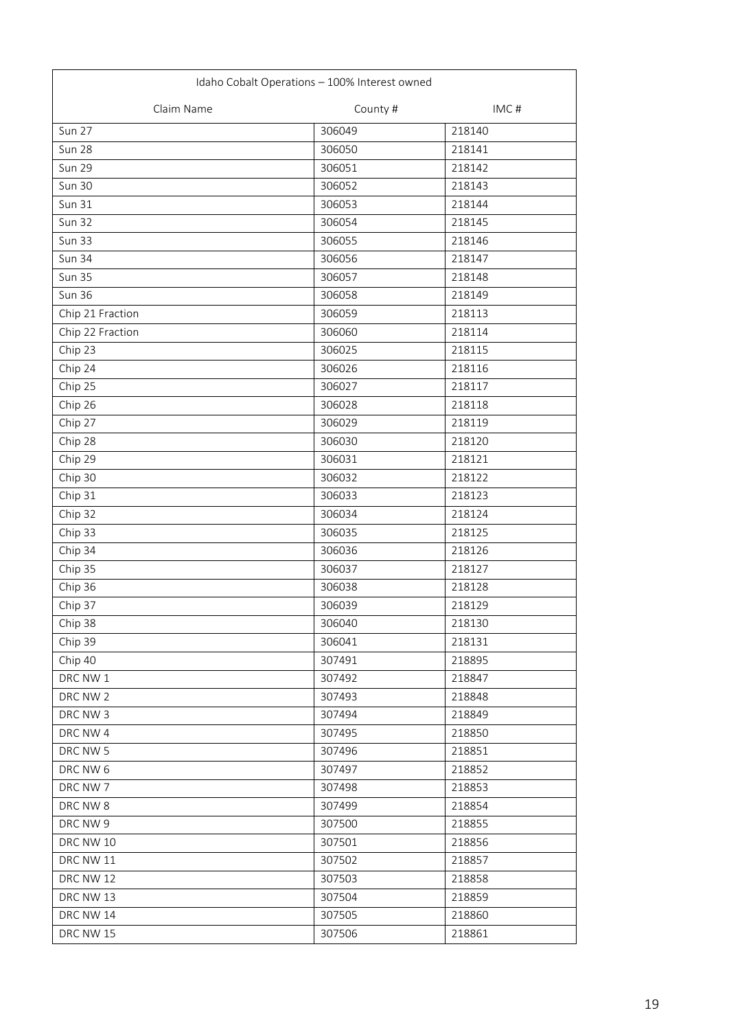| Idaho Cobalt Operations - 100% Interest owned |          |        |
|-----------------------------------------------|----------|--------|
| Claim Name                                    | County # | IMC#   |
| <b>Sun 27</b>                                 | 306049   | 218140 |
| <b>Sun 28</b>                                 | 306050   | 218141 |
| <b>Sun 29</b>                                 | 306051   | 218142 |
| Sun 30                                        | 306052   | 218143 |
| <b>Sun 31</b>                                 | 306053   | 218144 |
| <b>Sun 32</b>                                 | 306054   | 218145 |
| <b>Sun 33</b>                                 | 306055   | 218146 |
| <b>Sun 34</b>                                 | 306056   | 218147 |
| <b>Sun 35</b>                                 | 306057   | 218148 |
| <b>Sun 36</b>                                 | 306058   | 218149 |
| Chip 21 Fraction                              | 306059   | 218113 |
| Chip 22 Fraction                              | 306060   | 218114 |
| Chip 23                                       | 306025   | 218115 |
| Chip 24                                       | 306026   | 218116 |
| Chip 25                                       | 306027   | 218117 |
| Chip 26                                       | 306028   | 218118 |
| Chip 27                                       | 306029   | 218119 |
| Chip 28                                       | 306030   | 218120 |
| Chip 29                                       | 306031   | 218121 |
| Chip 30                                       | 306032   | 218122 |
| Chip 31                                       | 306033   | 218123 |
| Chip 32                                       | 306034   | 218124 |
| Chip 33                                       | 306035   | 218125 |
| Chip 34                                       | 306036   | 218126 |
| Chip 35                                       | 306037   | 218127 |
| Chip 36                                       | 306038   | 218128 |
| Chip 37                                       | 306039   | 218129 |
| Chip 38                                       | 306040   | 218130 |
| Chip 39                                       | 306041   | 218131 |
| Chip 40                                       | 307491   | 218895 |
| DRC NW 1                                      | 307492   | 218847 |
| DRC NW 2                                      | 307493   | 218848 |
| DRC NW 3                                      | 307494   | 218849 |
| DRC NW 4                                      | 307495   | 218850 |
| DRC NW 5                                      | 307496   | 218851 |
| DRC NW 6                                      | 307497   | 218852 |
| DRC NW 7                                      | 307498   | 218853 |
| DRC NW 8                                      | 307499   | 218854 |
| DRC NW 9                                      | 307500   | 218855 |
| DRC NW 10                                     | 307501   | 218856 |
| DRC NW 11                                     | 307502   | 218857 |
| DRC NW 12                                     | 307503   | 218858 |
| DRC NW 13                                     | 307504   | 218859 |
| DRC NW 14                                     | 307505   | 218860 |
| DRC NW 15                                     | 307506   | 218861 |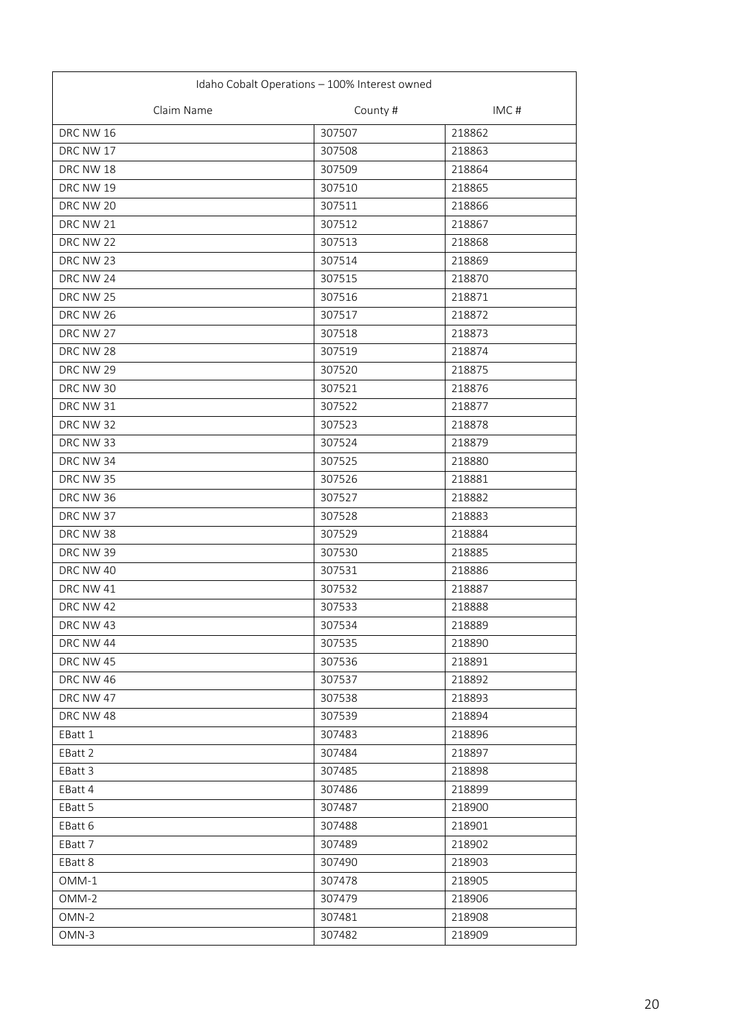| Idaho Cobalt Operations - 100% Interest owned |          |        |
|-----------------------------------------------|----------|--------|
| Claim Name                                    | County # | IMC#   |
| DRC NW 16                                     | 307507   | 218862 |
| DRC NW 17                                     | 307508   | 218863 |
| DRC NW 18                                     | 307509   | 218864 |
| DRC NW 19                                     | 307510   | 218865 |
| DRC NW 20                                     | 307511   | 218866 |
| DRC NW 21                                     | 307512   | 218867 |
| DRC NW 22                                     | 307513   | 218868 |
| DRC NW 23                                     | 307514   | 218869 |
| DRC NW 24                                     | 307515   | 218870 |
| DRC NW 25                                     | 307516   | 218871 |
| DRC NW 26                                     | 307517   | 218872 |
| DRC NW 27                                     | 307518   | 218873 |
| DRC NW 28                                     | 307519   | 218874 |
| DRC NW 29                                     | 307520   | 218875 |
| DRC NW 30                                     | 307521   | 218876 |
| DRC NW 31                                     | 307522   | 218877 |
| DRC NW 32                                     | 307523   | 218878 |
| DRC NW 33                                     | 307524   | 218879 |
| DRC NW 34                                     | 307525   | 218880 |
| DRC NW 35                                     | 307526   | 218881 |
| DRC NW 36                                     | 307527   | 218882 |
| DRC NW 37                                     | 307528   | 218883 |
| DRC NW 38                                     | 307529   | 218884 |
| DRC NW 39                                     | 307530   | 218885 |
| DRC NW 40                                     | 307531   | 218886 |
| DRC NW 41                                     | 307532   | 218887 |
| DRC NW 42                                     | 307533   | 218888 |
| DRC NW 43                                     | 307534   | 218889 |
| DRC NW 44                                     | 307535   | 218890 |
| DRC NW 45                                     | 307536   | 218891 |
| DRC NW 46                                     | 307537   | 218892 |
| DRC NW 47                                     | 307538   | 218893 |
| DRC NW 48                                     | 307539   | 218894 |
| EBatt 1                                       | 307483   | 218896 |
| EBatt 2                                       | 307484   | 218897 |
| EBatt 3                                       | 307485   | 218898 |
| EBatt 4                                       | 307486   | 218899 |
| EBatt 5                                       | 307487   | 218900 |
| EBatt 6                                       | 307488   | 218901 |
| EBatt 7                                       | 307489   | 218902 |
| EBatt 8                                       | 307490   | 218903 |
| OMM-1                                         | 307478   | 218905 |
| OMM-2                                         | 307479   | 218906 |
| OMN-2                                         | 307481   | 218908 |
| OMN-3                                         | 307482   | 218909 |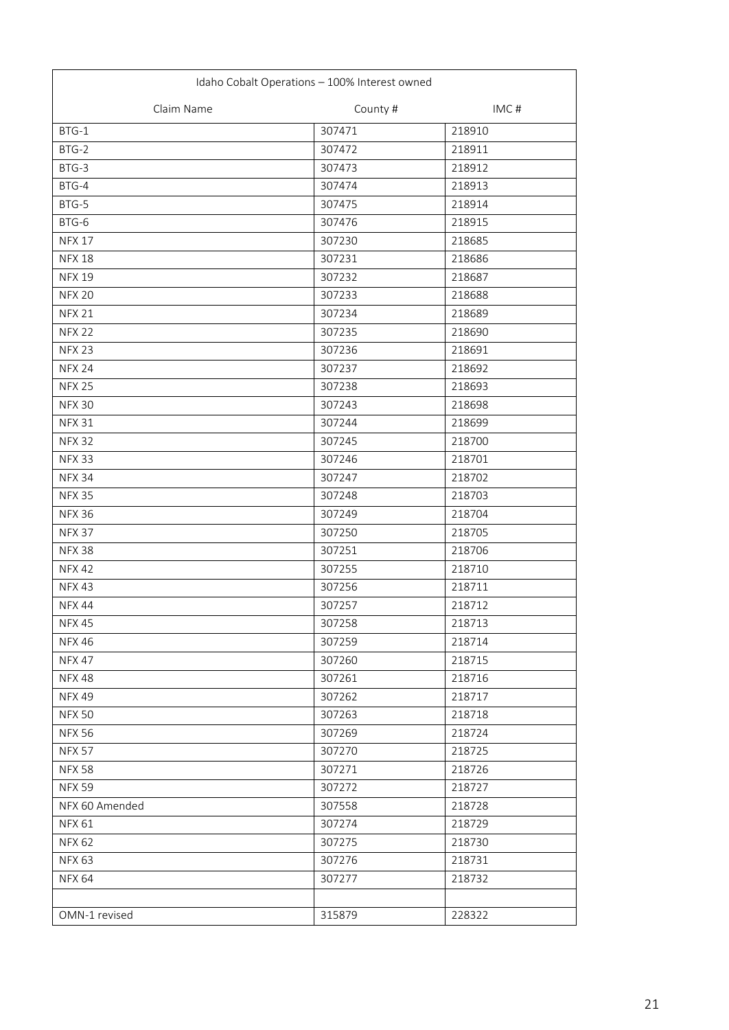| Idaho Cobalt Operations - 100% Interest owned |          |        |
|-----------------------------------------------|----------|--------|
| Claim Name                                    | County # | IMC#   |
| BTG-1                                         | 307471   | 218910 |
| BTG-2                                         | 307472   | 218911 |
| BTG-3                                         | 307473   | 218912 |
| BTG-4                                         | 307474   | 218913 |
| BTG-5                                         | 307475   | 218914 |
| BTG-6                                         | 307476   | 218915 |
| <b>NFX 17</b>                                 | 307230   | 218685 |
| <b>NFX 18</b>                                 | 307231   | 218686 |
| <b>NFX 19</b>                                 | 307232   | 218687 |
| <b>NFX 20</b>                                 | 307233   | 218688 |
| <b>NFX 21</b>                                 | 307234   | 218689 |
| <b>NFX 22</b>                                 | 307235   | 218690 |
| <b>NFX 23</b>                                 | 307236   | 218691 |
| <b>NFX 24</b>                                 | 307237   | 218692 |
| <b>NFX 25</b>                                 | 307238   | 218693 |
| <b>NFX 30</b>                                 | 307243   | 218698 |
| <b>NFX 31</b>                                 | 307244   | 218699 |
| <b>NFX 32</b>                                 | 307245   | 218700 |
| <b>NFX 33</b>                                 | 307246   | 218701 |
| <b>NFX 34</b>                                 | 307247   | 218702 |
| <b>NFX 35</b>                                 | 307248   | 218703 |
| <b>NFX 36</b>                                 | 307249   | 218704 |
| <b>NFX 37</b>                                 | 307250   | 218705 |
| <b>NFX 38</b>                                 | 307251   | 218706 |
| <b>NFX42</b>                                  | 307255   | 218710 |
| <b>NFX43</b>                                  | 307256   | 218711 |
| <b>NFX 44</b>                                 | 307257   | 218712 |
| <b>NFX 45</b>                                 | 307258   | 218713 |
| <b>NFX 46</b>                                 | 307259   | 218714 |
| <b>NFX 47</b>                                 | 307260   | 218715 |
| <b>NFX48</b>                                  | 307261   | 218716 |
| <b>NFX 49</b>                                 | 307262   | 218717 |
| <b>NFX 50</b>                                 | 307263   | 218718 |
| <b>NFX 56</b>                                 | 307269   | 218724 |
| <b>NFX 57</b>                                 | 307270   | 218725 |
| <b>NFX 58</b>                                 | 307271   | 218726 |
| <b>NFX 59</b>                                 | 307272   | 218727 |
| NFX 60 Amended                                | 307558   | 218728 |
| <b>NFX 61</b>                                 | 307274   | 218729 |
| <b>NFX 62</b>                                 | 307275   | 218730 |
| <b>NFX 63</b>                                 | 307276   | 218731 |
| <b>NFX 64</b>                                 | 307277   | 218732 |
|                                               |          |        |
| OMN-1 revised                                 | 315879   | 228322 |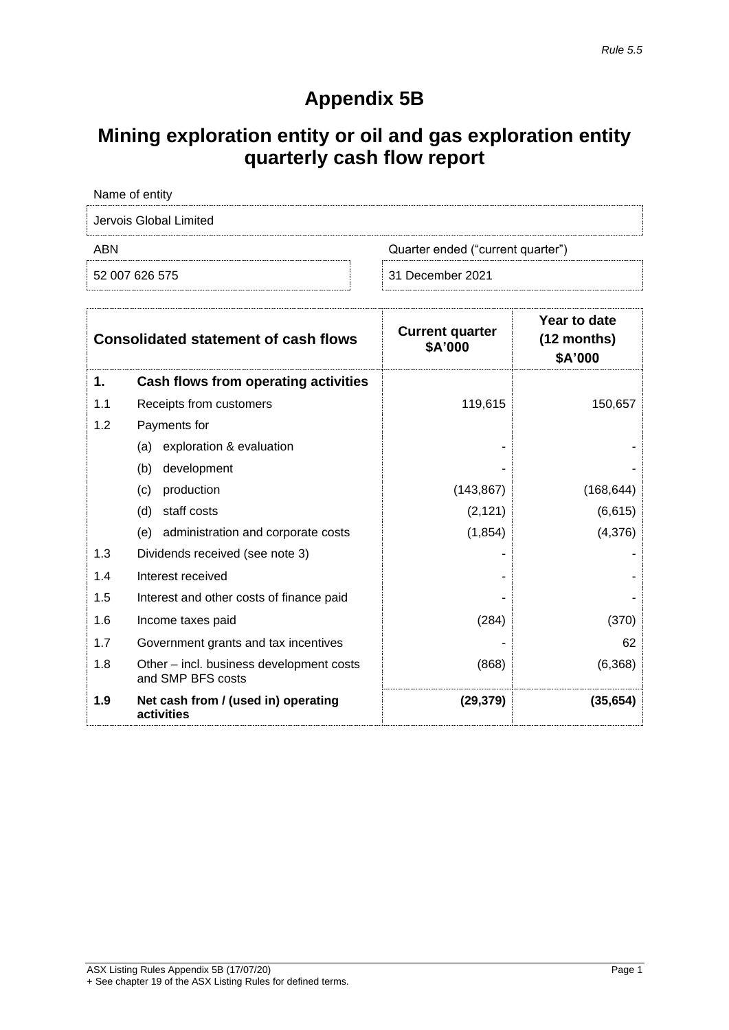# **Appendix 5B**

# **Mining exploration entity or oil and gas exploration entity quarterly cash flow report**

| Name of entity         |                                   |
|------------------------|-----------------------------------|
| Jervois Global Limited |                                   |
| ABN                    | Quarter ended ("current quarter") |
| 52 007 626 575         | 31 December 2021                  |

| <b>Consolidated statement of cash flows</b> |                                                               | <b>Current quarter</b><br>\$A'000 | Year to date<br>$(12$ months)<br>\$A'000 |
|---------------------------------------------|---------------------------------------------------------------|-----------------------------------|------------------------------------------|
| 1.                                          | Cash flows from operating activities                          |                                   |                                          |
| 1.1                                         | Receipts from customers                                       | 119,615                           | 150,657                                  |
| 1.2                                         | Payments for                                                  |                                   |                                          |
|                                             | exploration & evaluation<br>(a)                               |                                   |                                          |
|                                             | (b)<br>development                                            |                                   |                                          |
|                                             | (c)<br>production                                             | (143, 867)                        | (168, 644)                               |
|                                             | (d)<br>staff costs                                            | (2, 121)                          | (6,615)                                  |
|                                             | (e) administration and corporate costs                        | (1, 854)                          | (4,376)                                  |
| 1.3                                         | Dividends received (see note 3)                               |                                   |                                          |
| 1.4                                         | Interest received                                             |                                   |                                          |
| 1.5                                         | Interest and other costs of finance paid                      |                                   |                                          |
| 1.6                                         | Income taxes paid                                             | (284)                             | (370)                                    |
| 1.7                                         | Government grants and tax incentives                          |                                   | 62                                       |
| 1.8                                         | Other – incl. business development costs<br>and SMP BFS costs | (868)                             | (6, 368)                                 |
| 1.9                                         | Net cash from / (used in) operating<br>activities             | (29, 379)                         | (35, 654)                                |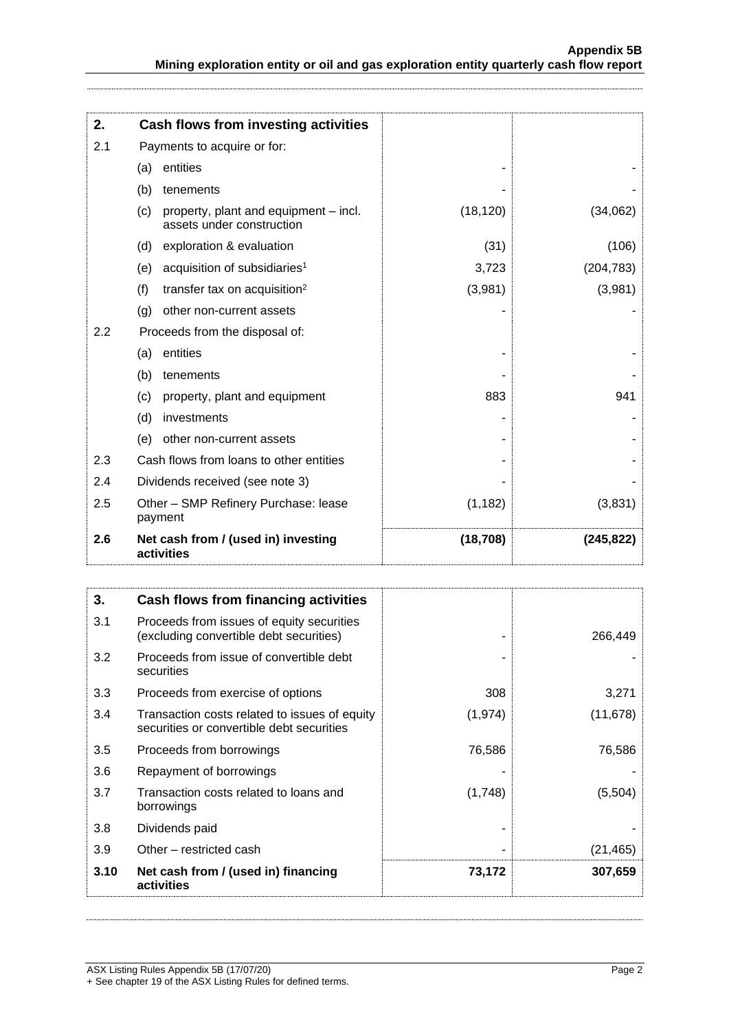| 2.  | Cash flows from investing activities                                      |           |            |
|-----|---------------------------------------------------------------------------|-----------|------------|
| 2.1 | Payments to acquire or for:                                               |           |            |
|     | entities<br>(a)                                                           |           |            |
|     | (b)<br>tenements                                                          |           |            |
|     | (c)<br>property, plant and equipment – incl.<br>assets under construction | (18, 120) | (34,062)   |
|     | exploration & evaluation<br>(d)                                           | (31)      | (106)      |
|     | acquisition of subsidiaries <sup>1</sup><br>(e)                           | 3,723     | (204, 783) |
|     | (f)<br>transfer tax on acquisition <sup>2</sup>                           | (3,981)   | (3,981)    |
|     | other non-current assets<br>(g)                                           |           |            |
| 2.2 | Proceeds from the disposal of:                                            |           |            |
|     | entities<br>(a)                                                           |           |            |
|     | (b)<br>tenements                                                          |           |            |
|     | (c)<br>property, plant and equipment                                      | 883       | 941        |
|     | (d)<br>investments                                                        |           |            |
|     | other non-current assets<br>(e)                                           |           |            |
| 2.3 | Cash flows from loans to other entities                                   |           |            |
| 2.4 | Dividends received (see note 3)                                           |           |            |
| 2.5 | Other - SMP Refinery Purchase: lease<br>payment                           | (1, 182)  | (3,831)    |
| 2.6 | Net cash from / (used in) investing<br>activities                         | (18, 708) | (245, 822) |

| 3.   | Cash flows from financing activities                                                       |         |           |
|------|--------------------------------------------------------------------------------------------|---------|-----------|
| 3.1  | Proceeds from issues of equity securities<br>(excluding convertible debt securities)       |         | 266,449   |
| 3.2  | Proceeds from issue of convertible debt<br>securities                                      |         |           |
| 3.3  | Proceeds from exercise of options                                                          | 308     | 3,271     |
| 3.4  | Transaction costs related to issues of equity<br>securities or convertible debt securities | (1,974) | (11,678)  |
| 3.5  | Proceeds from borrowings                                                                   | 76,586  | 76,586    |
| 3.6  | Repayment of borrowings                                                                    |         |           |
| 3.7  | Transaction costs related to loans and<br>borrowings                                       | (1,748) | (5,504)   |
| 3.8  | Dividends paid                                                                             |         |           |
| 3.9  | Other – restricted cash                                                                    |         | (21, 465) |
| 3.10 | Net cash from / (used in) financing<br>activities                                          | 73,172  | 307,659   |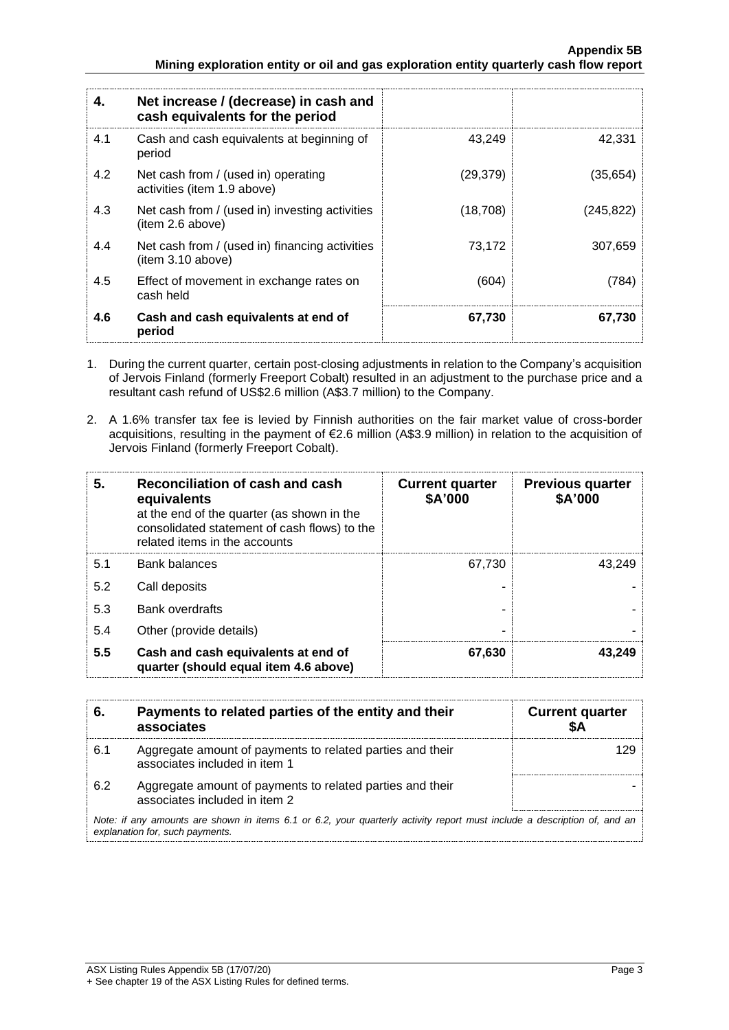| 4.  | Net increase / (decrease) in cash and<br>cash equivalents for the period |           |            |
|-----|--------------------------------------------------------------------------|-----------|------------|
| 4.1 | Cash and cash equivalents at beginning of<br>period                      | 43.249    | 42.331     |
| 4.2 | Net cash from / (used in) operating<br>activities (item 1.9 above)       | (29, 379) | (35, 654)  |
| 4.3 | Net cash from / (used in) investing activities<br>(item 2.6 above)       | (18,708)  | (245, 822) |
| 4.4 | Net cash from / (used in) financing activities<br>item 3.10 above)       | 73.172    | 307.659    |
| 4.5 | Effect of movement in exchange rates on<br>cash held                     | (604)     | (784)      |
| 4.6 | Cash and cash equivalents at end of<br>period                            | 67,730    | 67,730     |

- 1. During the current quarter, certain post-closing adjustments in relation to the Company's acquisition of Jervois Finland (formerly Freeport Cobalt) resulted in an adjustment to the purchase price and a resultant cash refund of US\$2.6 million (A\$3.7 million) to the Company.
- 2. A 1.6% transfer tax fee is levied by Finnish authorities on the fair market value of cross-border acquisitions, resulting in the payment of €2.6 million (A\$3.9 million) in relation to the acquisition of Jervois Finland (formerly Freeport Cobalt).

| 5.  | Reconciliation of cash and cash<br>equivalents<br>at the end of the quarter (as shown in the<br>consolidated statement of cash flows) to the<br>related items in the accounts | <b>Current quarter</b><br>\$A'000 | <b>Previous quarter</b><br>\$A'000 |
|-----|-------------------------------------------------------------------------------------------------------------------------------------------------------------------------------|-----------------------------------|------------------------------------|
| 5.1 | <b>Bank balances</b>                                                                                                                                                          | 67.730                            | 43,249                             |
| 5.2 | Call deposits                                                                                                                                                                 |                                   |                                    |
| 5.3 | <b>Bank overdrafts</b>                                                                                                                                                        |                                   |                                    |
| 5.4 | Other (provide details)                                                                                                                                                       | -                                 |                                    |
| 5.5 | Cash and cash equivalents at end of<br>quarter (should equal item 4.6 above)                                                                                                  | 67,630                            | 43,249                             |

| 6.                                                                                                                                                          | Payments to related parties of the entity and their<br>associates                          | <b>Current quarter</b><br>SΑ |
|-------------------------------------------------------------------------------------------------------------------------------------------------------------|--------------------------------------------------------------------------------------------|------------------------------|
| 6.1                                                                                                                                                         | Aggregate amount of payments to related parties and their<br>associates included in item 1 | 129                          |
| 6.2                                                                                                                                                         | Aggregate amount of payments to related parties and their<br>associates included in item 2 |                              |
| Note: if any amounts are shown in items 6.1 or 6.2, your quarterly activity report must include a description of, and an<br>explanation for, such payments. |                                                                                            |                              |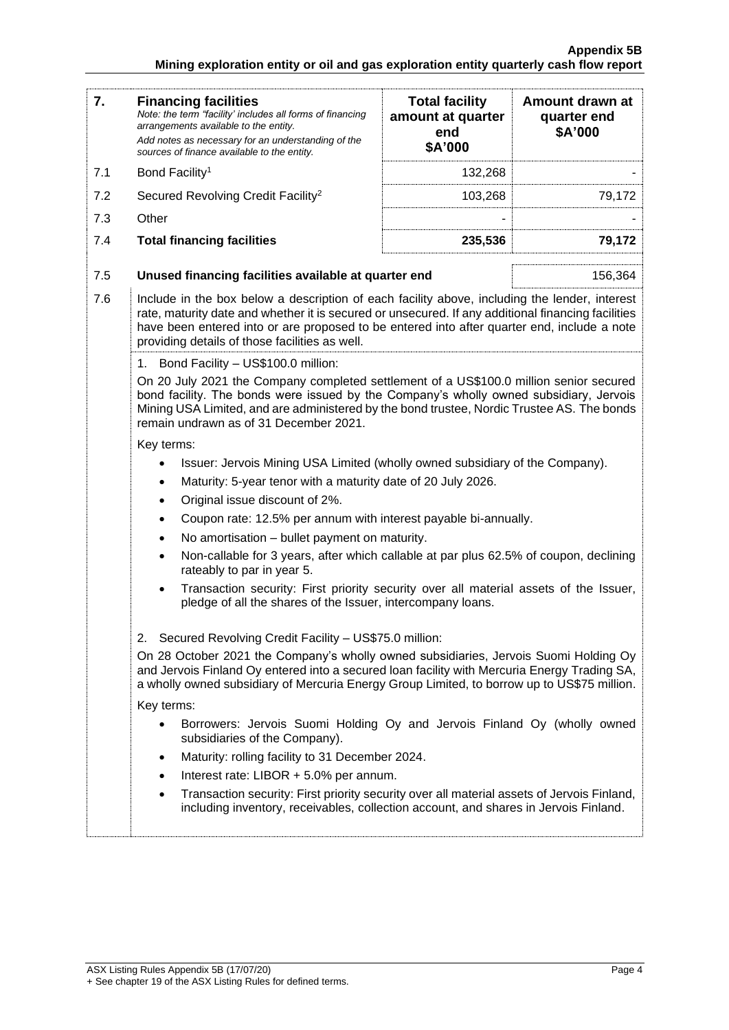#### **Appendix 5B Mining exploration entity or oil and gas exploration entity quarterly cash flow report**

| 7.         | <b>Financing facilities</b><br>Note: the term "facility' includes all forms of financing<br>arrangements available to the entity.<br>Add notes as necessary for an understanding of the<br>sources of finance available to the entity.                                                                                                               | <b>Total facility</b><br>amount at quarter<br>end<br>\$A'000 | Amount drawn at<br>quarter end<br>\$A'000 |  |
|------------|------------------------------------------------------------------------------------------------------------------------------------------------------------------------------------------------------------------------------------------------------------------------------------------------------------------------------------------------------|--------------------------------------------------------------|-------------------------------------------|--|
| 7.1        | Bond Facility <sup>1</sup>                                                                                                                                                                                                                                                                                                                           | 132,268                                                      |                                           |  |
| 7.2        | Secured Revolving Credit Facility <sup>2</sup>                                                                                                                                                                                                                                                                                                       | 103,268                                                      | 79,172                                    |  |
| 7.3        | Other                                                                                                                                                                                                                                                                                                                                                |                                                              |                                           |  |
| 7.4        | <b>Total financing facilities</b>                                                                                                                                                                                                                                                                                                                    | 235,536                                                      | 79,172                                    |  |
|            |                                                                                                                                                                                                                                                                                                                                                      |                                                              |                                           |  |
| 7.5        | Unused financing facilities available at quarter end                                                                                                                                                                                                                                                                                                 |                                                              | 156,364                                   |  |
| 7.6        | Include in the box below a description of each facility above, including the lender, interest<br>rate, maturity date and whether it is secured or unsecured. If any additional financing facilities<br>have been entered into or are proposed to be entered into after quarter end, include a note<br>providing details of those facilities as well. |                                                              |                                           |  |
|            | 1. Bond Facility - US\$100.0 million:                                                                                                                                                                                                                                                                                                                |                                                              |                                           |  |
|            | On 20 July 2021 the Company completed settlement of a US\$100.0 million senior secured<br>bond facility. The bonds were issued by the Company's wholly owned subsidiary, Jervois<br>Mining USA Limited, and are administered by the bond trustee, Nordic Trustee AS. The bonds<br>remain undrawn as of 31 December 2021.                             |                                                              |                                           |  |
|            | Key terms:                                                                                                                                                                                                                                                                                                                                           |                                                              |                                           |  |
|            | Issuer: Jervois Mining USA Limited (wholly owned subsidiary of the Company).                                                                                                                                                                                                                                                                         |                                                              |                                           |  |
|            | Maturity: 5-year tenor with a maturity date of 20 July 2026.<br>٠                                                                                                                                                                                                                                                                                    |                                                              |                                           |  |
|            | Original issue discount of 2%.<br>$\bullet$                                                                                                                                                                                                                                                                                                          |                                                              |                                           |  |
|            | Coupon rate: 12.5% per annum with interest payable bi-annually.                                                                                                                                                                                                                                                                                      |                                                              |                                           |  |
|            | No amortisation - bullet payment on maturity.<br>$\bullet$                                                                                                                                                                                                                                                                                           |                                                              |                                           |  |
|            | Non-callable for 3 years, after which callable at par plus 62.5% of coupon, declining<br>rateably to par in year 5.                                                                                                                                                                                                                                  |                                                              |                                           |  |
|            | Transaction security: First priority security over all material assets of the Issuer,<br>pledge of all the shares of the Issuer, intercompany loans.                                                                                                                                                                                                 |                                                              |                                           |  |
|            | 2. Secured Revolving Credit Facility - US\$75.0 million:                                                                                                                                                                                                                                                                                             |                                                              |                                           |  |
|            | On 28 October 2021 the Company's wholly owned subsidiaries, Jervois Suomi Holding Oy<br>and Jervois Finland Oy entered into a secured loan facility with Mercuria Energy Trading SA,<br>a wholly owned subsidiary of Mercuria Energy Group Limited, to borrow up to US\$75 million.                                                                  |                                                              |                                           |  |
| Key terms: |                                                                                                                                                                                                                                                                                                                                                      |                                                              |                                           |  |
|            | Borrowers: Jervois Suomi Holding Oy and Jervois Finland Oy (wholly owned<br>subsidiaries of the Company).                                                                                                                                                                                                                                            |                                                              |                                           |  |
|            | Maturity: rolling facility to 31 December 2024.<br>$\bullet$                                                                                                                                                                                                                                                                                         |                                                              |                                           |  |
|            | Interest rate: LIBOR + 5.0% per annum.<br>$\bullet$                                                                                                                                                                                                                                                                                                  |                                                              |                                           |  |
|            | Transaction security: First priority security over all material assets of Jervois Finland,<br>including inventory, receivables, collection account, and shares in Jervois Finland.                                                                                                                                                                   |                                                              |                                           |  |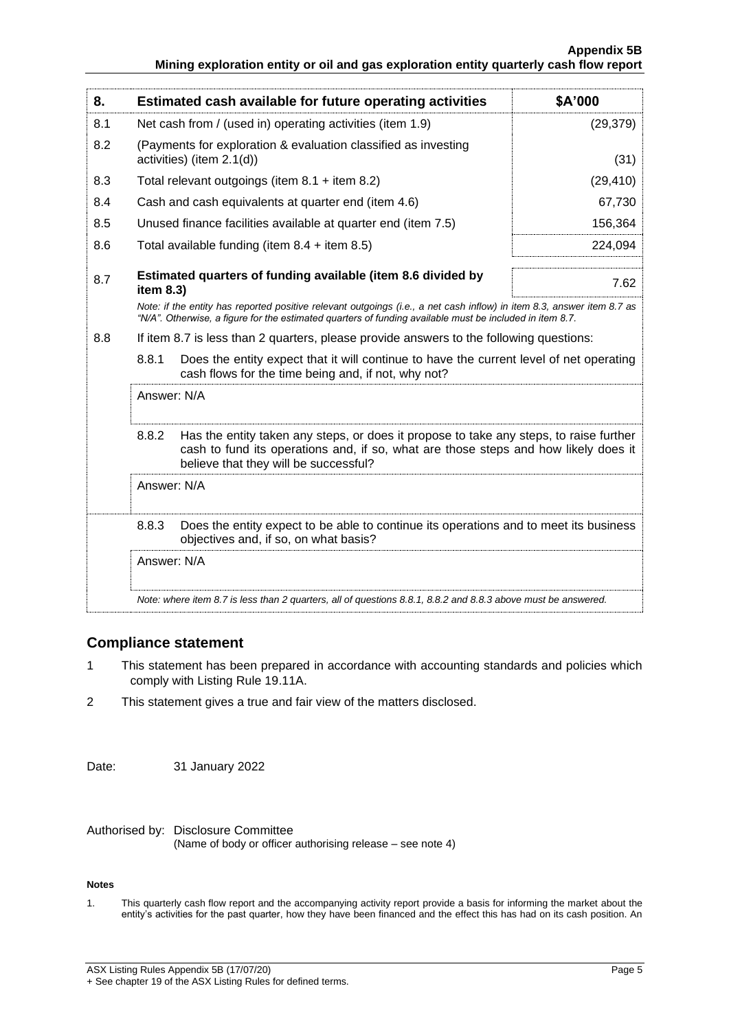| 8.                                                                                                                                                                                                                                 |             | Estimated cash available for future operating activities                                                                                                                                                               | \$A'000   |
|------------------------------------------------------------------------------------------------------------------------------------------------------------------------------------------------------------------------------------|-------------|------------------------------------------------------------------------------------------------------------------------------------------------------------------------------------------------------------------------|-----------|
| 8.1                                                                                                                                                                                                                                |             | Net cash from / (used in) operating activities (item 1.9)                                                                                                                                                              | (29, 379) |
| 8.2                                                                                                                                                                                                                                |             | (Payments for exploration & evaluation classified as investing<br>activities) (item 2.1(d))                                                                                                                            | (31)      |
| 8.3                                                                                                                                                                                                                                |             | Total relevant outgoings (item $8.1 +$ item $8.2$ )                                                                                                                                                                    | (29, 410) |
| 8.4                                                                                                                                                                                                                                |             | Cash and cash equivalents at quarter end (item 4.6)                                                                                                                                                                    | 67,730    |
| 8.5                                                                                                                                                                                                                                |             | Unused finance facilities available at quarter end (item 7.5)                                                                                                                                                          | 156,364   |
| 8.6                                                                                                                                                                                                                                |             | Total available funding (item $8.4 +$ item $8.5$ )                                                                                                                                                                     | 224,094   |
| 8.7                                                                                                                                                                                                                                | item 8.3)   | Estimated quarters of funding available (item 8.6 divided by                                                                                                                                                           | 7.62      |
| Note: if the entity has reported positive relevant outgoings (i.e., a net cash inflow) in item 8.3, answer item 8.7 as<br>"N/A". Otherwise, a figure for the estimated quarters of funding available must be included in item 8.7. |             |                                                                                                                                                                                                                        |           |
| 8.8                                                                                                                                                                                                                                |             | If item 8.7 is less than 2 quarters, please provide answers to the following questions:                                                                                                                                |           |
| 8.8.1<br>Does the entity expect that it will continue to have the current level of net operating<br>cash flows for the time being and, if not, why not?                                                                            |             |                                                                                                                                                                                                                        |           |
|                                                                                                                                                                                                                                    | Answer: N/A |                                                                                                                                                                                                                        |           |
|                                                                                                                                                                                                                                    | 8.8.2       | Has the entity taken any steps, or does it propose to take any steps, to raise further<br>cash to fund its operations and, if so, what are those steps and how likely does it<br>believe that they will be successful? |           |
|                                                                                                                                                                                                                                    | Answer: N/A |                                                                                                                                                                                                                        |           |
|                                                                                                                                                                                                                                    | 8.8.3       | Does the entity expect to be able to continue its operations and to meet its business<br>objectives and, if so, on what basis?                                                                                         |           |
| Answer: N/A                                                                                                                                                                                                                        |             |                                                                                                                                                                                                                        |           |
|                                                                                                                                                                                                                                    |             | Note: where item 8.7 is less than 2 quarters, all of questions 8.8.1, 8.8.2 and 8.8.3 above must be answered.                                                                                                          |           |

#### **Compliance statement**

- 1 This statement has been prepared in accordance with accounting standards and policies which comply with Listing Rule 19.11A.
- 2 This statement gives a true and fair view of the matters disclosed.

Date: 31 January 2022

#### Authorised by: Disclosure Committee (Name of body or officer authorising release – see note 4)

#### **Notes**

1. This quarterly cash flow report and the accompanying activity report provide a basis for informing the market about the entity's activities for the past quarter, how they have been financed and the effect this has had on its cash position. An